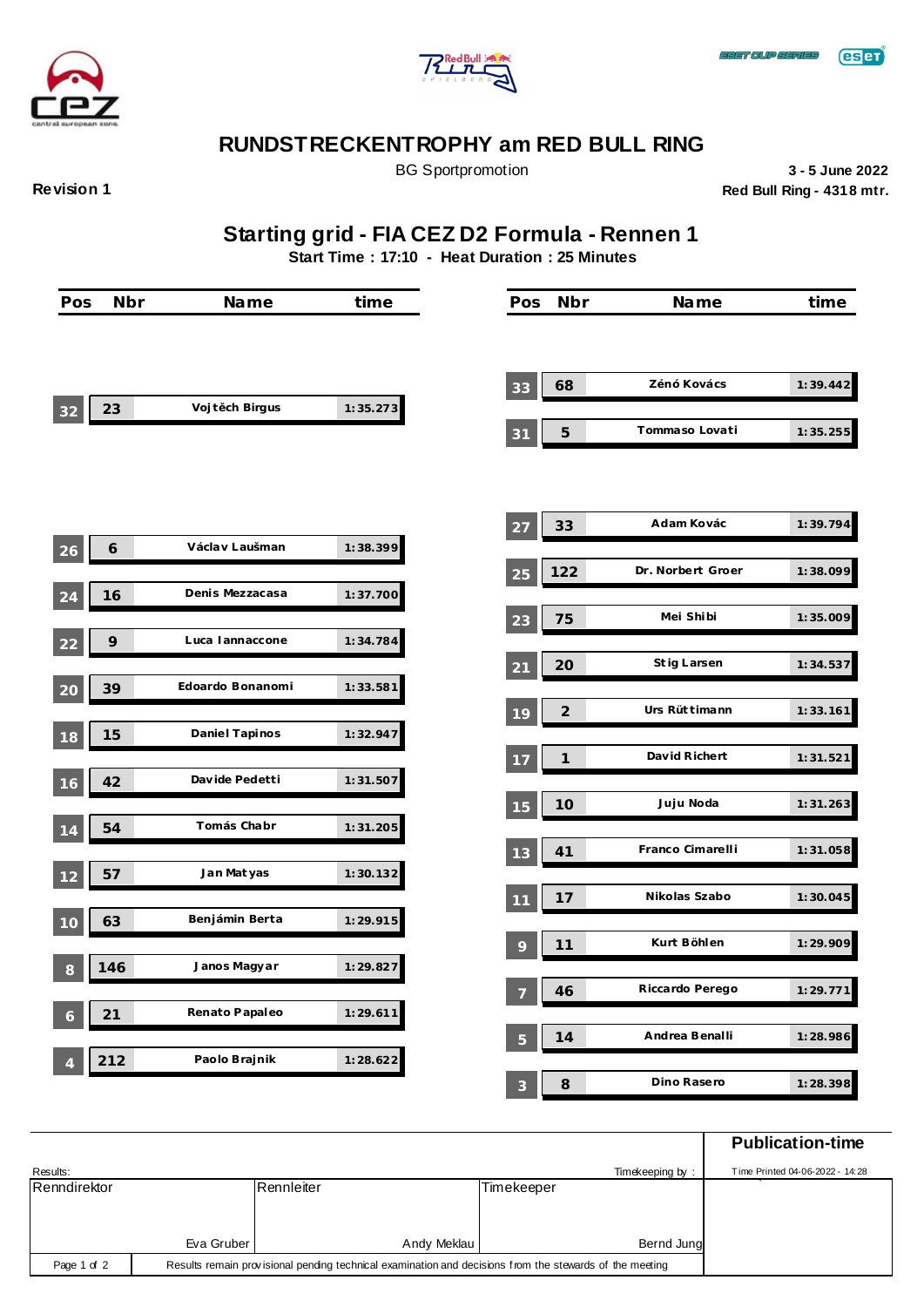



**Revision 1**

BG Sportpromotion **3 - 5 June 2022 Red Bull Ring - 4318 mtr.**

**Starting grid - FIA CEZ D2 Formula - Rennen 1**

**Start Time : 17:10 - Heat Duration : 25 Minutes**

| Pos            | <b>Nbr</b> | Name             | time     | Pos            | Nbr                        | Name              | time     |
|----------------|------------|------------------|----------|----------------|----------------------------|-------------------|----------|
|                |            |                  |          |                |                            |                   |          |
|                |            |                  |          | 33             | 68                         | Zénó Kovács       | 1:39.442 |
| 23<br>32       |            | Vojt ch Birgus   | 1:35.273 | 31             | $\sqrt{5}$                 | Tommaso Lovati    | 1:35.255 |
|                |            |                  |          |                |                            |                   |          |
|                |            | Václav Laušman   | 1:38.399 | 27             | 33                         | Adam Kovác        | 1:39.794 |
| 6<br>26        |            |                  |          | 25             | 122                        | Dr. Norbert Groer | 1:38.099 |
| 16<br>24       |            | Denis Mezzacasa  | 1:37.700 |                |                            | Mei Shibi         |          |
| 9<br>22        |            | Luca lannaccone  | 1:34.784 | 23             | 75                         |                   | 1:35.009 |
|                |            |                  |          | 21             | 20                         | St ig Larsen      | 1:34.537 |
| 39<br>20       |            | Edoardo Bonanomi | 1:33.581 | 19             | $\mathfrak{2}$             | Urs Rüt timann    | 1:33.161 |
| 15<br>18       |            | Daniel Tapinos   | 1:32.947 |                |                            |                   |          |
| 42             |            | Davide Pedetti   | 1:31.507 | -17            | $\boldsymbol{\mathcal{I}}$ | David Richert     | 1:31.521 |
| 16             |            |                  |          | 15             | 10                         | Juju Noda         | 1:31.263 |
| 54<br>-14      |            | Tomás Chabr      | 1:31.205 |                |                            |                   |          |
| 57<br>12       |            | Jan Mat yas      | 1:30.132 | 13             | 41                         | Franco Cimarelli  | 1:31.058 |
|                |            |                  |          | 11             | 17                         | Nikolas Szabo     | 1:30.045 |
| 63<br>10       |            | Benjámin Berta   | 1:29.915 |                | 11                         | Kurt Böhlen       | 1:29.909 |
| 146<br>$\,8\,$ |            | Janos Magyar     | 1:29.827 | 9              |                            |                   |          |
|                |            |                  |          | $\overline{7}$ | 46                         | Riccardo Perego   | 1:29.771 |
| 21<br>6        |            | Renato Papaleo   | 1:29.611 | $5\phantom{1}$ | 14                         | Andrea Benalli    | 1:28.986 |
| 212            |            | Paolo Brajnik    | 1:28.622 |                |                            |                   |          |
|                |            |                  |          | $\mathbf{3}$   | $\boldsymbol{\mathcal{S}}$ | Dino Rasero       | 1:28.398 |

|              |            |                                                                                                         |                 | <b>Publication-time</b>         |
|--------------|------------|---------------------------------------------------------------------------------------------------------|-----------------|---------------------------------|
| Results:     |            |                                                                                                         | Timekeeping by: | Time Printed 04-06-2022 - 14:28 |
| Renndirektor |            | Rennleiter                                                                                              | Timekeeper      |                                 |
|              |            |                                                                                                         |                 |                                 |
|              |            |                                                                                                         |                 |                                 |
|              | Eva Gruber | Andy Meklau                                                                                             | Bernd Jung      |                                 |
| Page 1 of 2  |            | Results remain provisional pending technical examination and decisions from the stewards of the meeting |                 |                                 |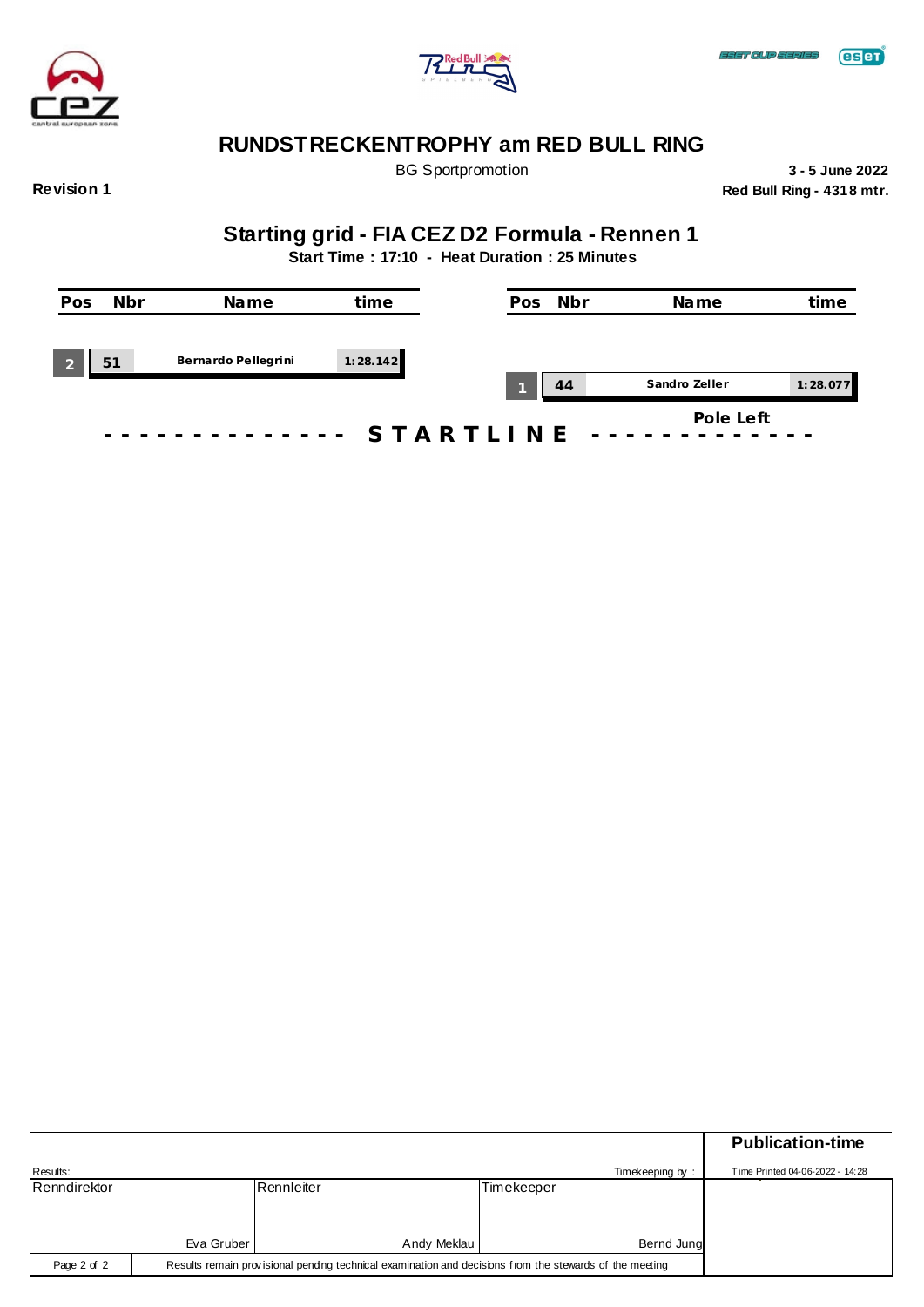



BG Sportpromotion **3 - 5 June 2022 Red Bull Ring - 4318 mtr.**

**Revision 1**

# **Starting grid - FIA CEZ D2 Formula - Rennen 1**

**Start Time : 17:10 - Heat Duration : 25 Minutes**

| Pos | <b>Nbr</b> | Name                | time      | Pos | Nbr | Name          | time     |
|-----|------------|---------------------|-----------|-----|-----|---------------|----------|
|     |            |                     |           |     |     |               |          |
|     | 51         | Bernardo Pellegrini | 1:28.142  |     | 44  | Sandro Zeller | 1:28.077 |
|     |            |                     | STARTLINE |     |     | Pole Left     |          |

|              |                                                                                                         |             |            |                 | <b>Publication-time</b>         |  |
|--------------|---------------------------------------------------------------------------------------------------------|-------------|------------|-----------------|---------------------------------|--|
| Results:     |                                                                                                         |             |            | Timekeeping by: | Time Printed 04-06-2022 - 14:28 |  |
| Renndirektor |                                                                                                         | Rennleiter  | Timekeeper |                 |                                 |  |
|              |                                                                                                         |             |            |                 |                                 |  |
|              |                                                                                                         |             |            |                 |                                 |  |
|              | Eva Gruber                                                                                              | Andy Meklau |            | Bernd Jung      |                                 |  |
| Page 2 of 2  | Results remain provisional pending technical examination and decisions from the stewards of the meeting |             |            |                 |                                 |  |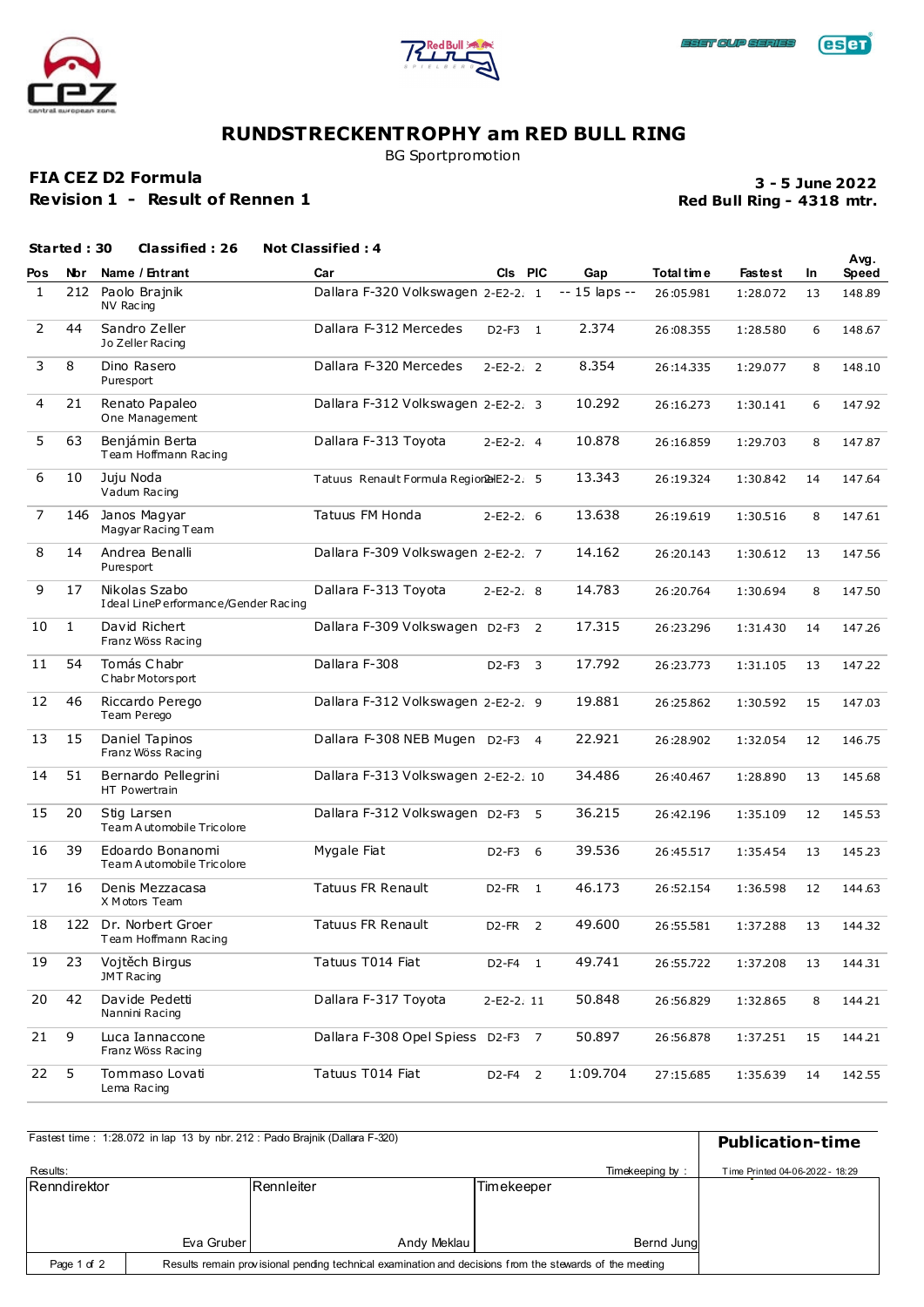





BG Sportpromotion

### **FIA CEZ D2 Formula**

**Revision 1 - Result of Rennen 1**

### **Red Bull Ring - 4318 mtr. 3 - 5 June 2022**

|                | Started: 30  | Classified: 26                                        | <b>Not Classified: 4</b>                |            |   |                |            |                |     | Avg.   |
|----------------|--------------|-------------------------------------------------------|-----------------------------------------|------------|---|----------------|------------|----------------|-----|--------|
| Pos            | <b>Nbr</b>   | Name / Entrant                                        | Car                                     | CIs PIC    |   | Gap            | Total time | <b>Fastest</b> | In. | Speed  |
| 1              | 212          | Paolo Brajnik<br>NV Racing                            | Dallara F-320 Volkswagen 2-E2-2. 1      |            |   | $-15$ laps $-$ | 26:05.981  | 1:28.072       | 13  | 148.89 |
| $\overline{2}$ | 44           | Sandro Zeller<br>Jo Zeller Racing                     | Dallara F-312 Mercedes                  | D2-F3 1    |   | 2.374          | 26:08.355  | 1:28.580       | 6   | 148.67 |
| 3              | 8            | Dino Rasero<br>Puresport                              | Dallara F-320 Mercedes                  | $2-E2-2.2$ |   | 8.354          | 26:14.335  | 1:29.077       | 8   | 148.10 |
| 4              | 21           | Renato Papaleo<br>One Management                      | Dallara F-312 Volkswagen 2-E2-2. 3      |            |   | 10.292         | 26:16.273  | 1:30.141       | 6   | 147.92 |
| 5              | 63           | Benjámin Berta<br>Team Hoffmann Racing                | Dallara F-313 Toyota                    | 2-E2-2. 4  |   | 10.878         | 26:16.859  | 1:29.703       | 8   | 147.87 |
| 6              | 10           | Juju Noda<br>Vadum Racing                             | Tatuus Renault Formula Region2alE2-2. 5 |            |   | 13.343         | 26:19.324  | 1:30.842       | 14  | 147.64 |
| 7              | 146          | Janos Magyar<br>Magyar Racing Team                    | Tatuus FM Honda                         | $2-E2-2.6$ |   | 13.638         | 26:19.619  | 1:30.516       | 8   | 147.61 |
| 8              | 14           | Andrea Benalli<br>Puresport                           | Dallara F-309 Volkswagen 2-E2-2. 7      |            |   | 14.162         | 26:20.143  | 1:30.612       | 13  | 147.56 |
| 9              | 17           | Nikolas Szabo<br>I deal LinePerformance/Gender Racing | Dallara F-313 Toyota                    | $2-E2-2.8$ |   | 14.783         | 26:20.764  | 1:30.694       | 8   | 147.50 |
| 10             | $\mathbf{1}$ | David Richert<br>Franz Wöss Racing                    | Dallara F-309 Volkswagen D2-F3 2        |            |   | 17.315         | 26:23.296  | 1:31.430       | 14  | 147.26 |
| 11             | 54           | Tomás Chabr<br>Chabr Motors port                      | Dallara F-308                           | D2-F3      | 3 | 17.792         | 26:23.773  | 1:31.105       | 13  | 147.22 |
| 12             | 46           | Riccardo Perego<br>Team Perego                        | Dallara F-312 Volkswagen 2-E2-2. 9      |            |   | 19.881         | 26:25.862  | 1:30.592       | 15  | 147.03 |
| 13             | 15           | Daniel Tapinos<br>Franz Wöss Racing                   | Dallara F-308 NEB Mugen D2-F3 4         |            |   | 22.921         | 26:28.902  | 1:32.054       | 12  | 146.75 |
| 14             | 51           | Bernardo Pellegrini<br>HT Powertrain                  | Dallara F-313 Volkswagen 2-E2-2. 10     |            |   | 34.486         | 26:40.467  | 1:28.890       | 13  | 145.68 |
| 15             | 20           | Stig Larsen<br>Team A utomobile Tricolore             | Dallara F-312 Volkswagen D2-F3 5        |            |   | 36.215         | 26:42.196  | 1:35.109       | 12  | 145.53 |
| 16             | 39           | Edoardo Bonanomi<br>Team Automobile Tricolore         | Mygale Fiat                             | D2-F3      | 6 | 39.536         | 26:45.517  | 1:35.454       | 13  | 145.23 |
| 17             | 16           | Denis Mezzacasa<br>X Motors Team                      | <b>Tatuus FR Renault</b>                | D2-FR 1    |   | 46.173         | 26:52.154  | 1:36.598       | 12  | 144.63 |
| 18             | 122          | Dr. Norbert Groer<br>Team Hoffmann Racing             | <b>Tatuus FR Renault</b>                | D2-FR 2    |   | 49.600         | 26:55.581  | 1:37.288       | 13  | 144.32 |
| 19             | 23           | Vojtěch Birgus<br>JMT Racing                          | Tatuus T014 Fiat                        | D2-F4 1    |   | 49.741         | 26:55.722  | 1:37.208       | 13  | 144.31 |
| 20             | 42           | Davide Pedetti<br>Nannini Racing                      | Dallara F-317 Toyota                    | 2-E2-2.11  |   | 50.848         | 26:56.829  | 1:32.865       | 8   | 144.21 |
| 21             | 9            | Luca Iannaccone<br>Franz Wöss Racing                  | Dallara F-308 Opel Spiess D2-F3 7       |            |   | 50.897         | 26:56.878  | 1:37.251       | 15  | 144.21 |
| 22             | 5            | Tommaso Lovati<br>Lema Racing                         | Tatuus T014 Fiat                        | D2-F4 2    |   | 1:09.704       | 27:15.685  | 1:35.639       | 14  | 142.55 |

|              | Fastest time: 1:28.072 in lap 13 by nbr. 212: Pado Brajnik (Dallara F-320)<br><b>Publication-time</b>   |             |            |                 |                                 |  |
|--------------|---------------------------------------------------------------------------------------------------------|-------------|------------|-----------------|---------------------------------|--|
| Results:     |                                                                                                         |             |            | Timekeeping by: | Time Printed 04-06-2022 - 18:29 |  |
| Renndirektor |                                                                                                         | Rennleiter  | Timekeeper |                 |                                 |  |
|              |                                                                                                         |             |            |                 |                                 |  |
|              |                                                                                                         |             |            |                 |                                 |  |
|              | Eva Gruber                                                                                              | Andy Meklau |            | Bernd Jung      |                                 |  |
| Page 1 of 2  | Results remain provisional pending technical examination and decisions from the stewards of the meeting |             |            |                 |                                 |  |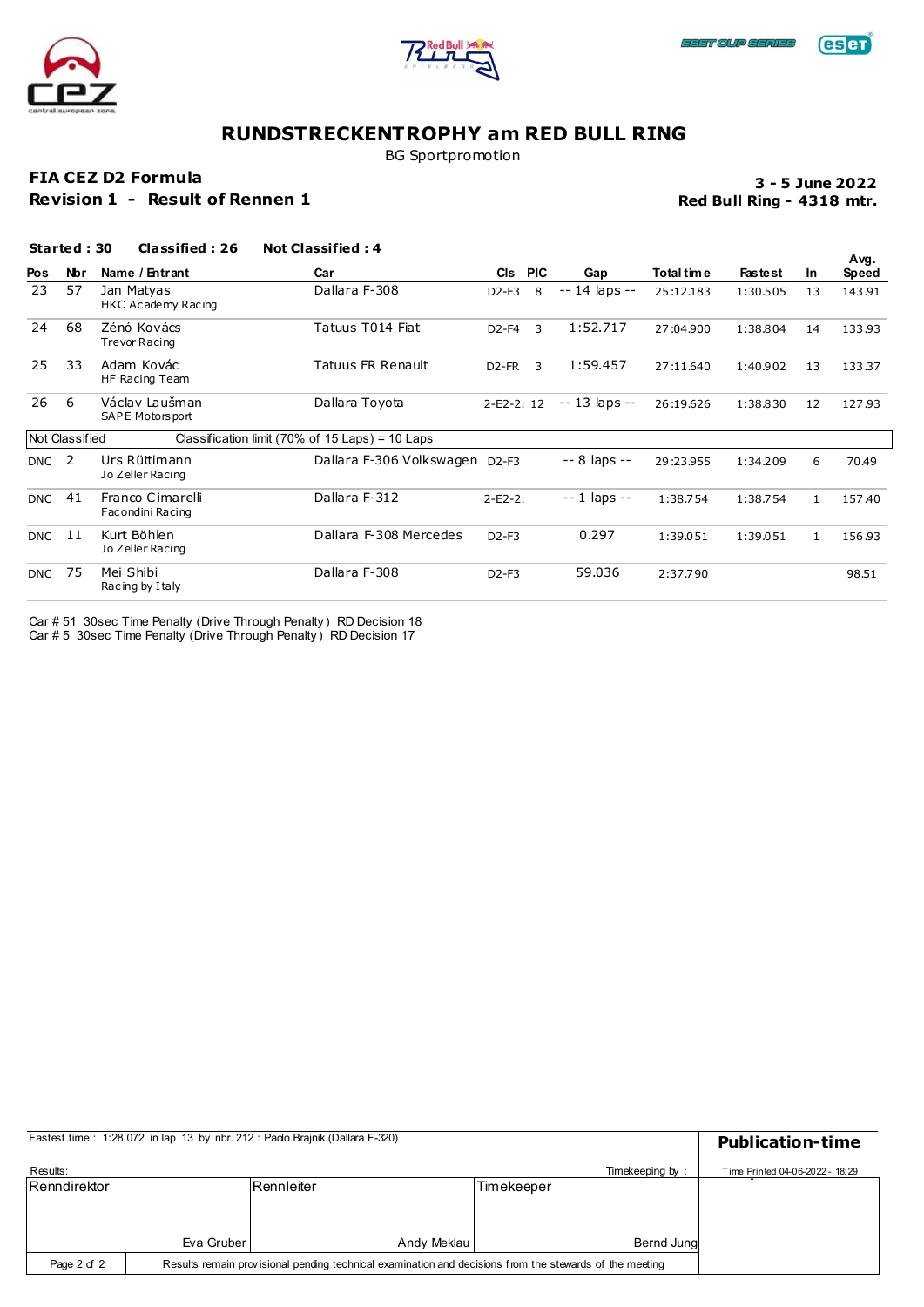





BG Sportpromotion

### **FIA CEZ D2 Formula**

**Revision 1 - Result of Rennen 1**

### **Red Bull Ring - 4318 mtr. 3 - 5 June 2022**

**Avg.**

### **Pos Nbr Name / Entrant Car Cls PIC Gap Total time Fastest In**<br> **Pos Cls PIC Cap Cls PIC Cap Calture Capacity Cls Cls Cls Cls Cls Cls Cls Cls Cls Cls Cls Cls Cls Cls Cls Started : 30 Classified : 26 Not Classified : 4**  $\overline{57}$  Jan Matyas HKC Ac ademy Racing

| Pos           | <b>Nbr</b>     | Name / Entrant                       | Car                                             |                                | CIs PIC | Gap            | Total tim e | <b>Fastest</b> | <b>In</b> | Speed  |
|---------------|----------------|--------------------------------------|-------------------------------------------------|--------------------------------|---------|----------------|-------------|----------------|-----------|--------|
| 23            | 57             | Jan Matyas<br>HKC Academy Racing     | Dallara F-308                                   | $D2-F3$                        | 8       | -- 14 laps --  | 25:12.183   | 1:30.505       | 13        | 143.91 |
| 24            | 68             | Zénó Kovács<br><b>Trevor Racing</b>  | Tatuus T014 Fiat                                | D <sub>2</sub> -F <sub>4</sub> | 3       | 1:52.717       | 27:04.900   | 1:38.804       | 14        | 133.93 |
| 25            | 33             | Adam Kovác<br>HF Racing Team         | Tatuus FR Renault                               | D <sub>2</sub> -FR             | 3       | 1:59.457       | 27:11.640   | 1:40.902       | 13        | 133.37 |
| 26            | 6              | Václav Laušman<br>SAPE Motors port   | Dallara Toyota                                  | $2-E2-2.12$                    |         | $-13$ laps $-$ | 26:19.626   | 1:38.830       | 12        | 127.93 |
|               | Not Classified |                                      | Classification limit (70% of 15 Laps) = 10 Laps |                                |         |                |             |                |           |        |
| <b>DNC</b>    | -2             | Urs Rüttimann<br>Jo Zeller Racing    | Dallara F-306 Volkswagen                        | $D2-F3$                        |         | $-8$ laps $-$  | 29:23.955   | 1:34.209       | 6         | 70.49  |
| <b>DNC</b>    | 41             | Franco Cimarelli<br>Facondini Racing | Dallara F-312                                   | $2-E2-2.$                      |         | $-1$ laps $-$  | 1:38.754    | 1:38.754       | 1         | 157.40 |
| <b>DNC</b> 11 |                | Kurt Böhlen<br>Jo Zeller Racing      | Dallara F-308 Mercedes                          | $D2-F3$                        |         | 0.297          | 1:39.051    | 1:39.051       | 1         | 156.93 |
| <b>DNC</b>    | -75            | Mei Shibi<br>Racing by I taly        | Dallara F-308                                   | $D2-F3$                        |         | 59.036         | 2:37.790    |                |           | 98.51  |

Car # 51 30sec Time Penalty (Drive Through Penalty ) RD Decision 18 Car # 5 30sec Time Penalty (Drive Through Penalty ) RD Decision 17

|              | Fastest time: 1:28.072 in lap 13 by nbr. 212: Pado Brajnik (Dallara F-320) |                                                                                                         |                 |                                 |  |  |  |
|--------------|----------------------------------------------------------------------------|---------------------------------------------------------------------------------------------------------|-----------------|---------------------------------|--|--|--|
| Results:     |                                                                            |                                                                                                         | Timekeeping by: | Time Printed 04-06-2022 - 18:29 |  |  |  |
| Renndirektor |                                                                            | <b>Rennleiter</b>                                                                                       | Timekeeper      |                                 |  |  |  |
|              |                                                                            |                                                                                                         |                 |                                 |  |  |  |
|              |                                                                            |                                                                                                         |                 |                                 |  |  |  |
|              | Eva Gruber                                                                 | Andy Meklau                                                                                             | Bernd Jung      |                                 |  |  |  |
| Page 2 of 2  |                                                                            | Results remain provisional pending technical examination and decisions from the stewards of the meeting |                 |                                 |  |  |  |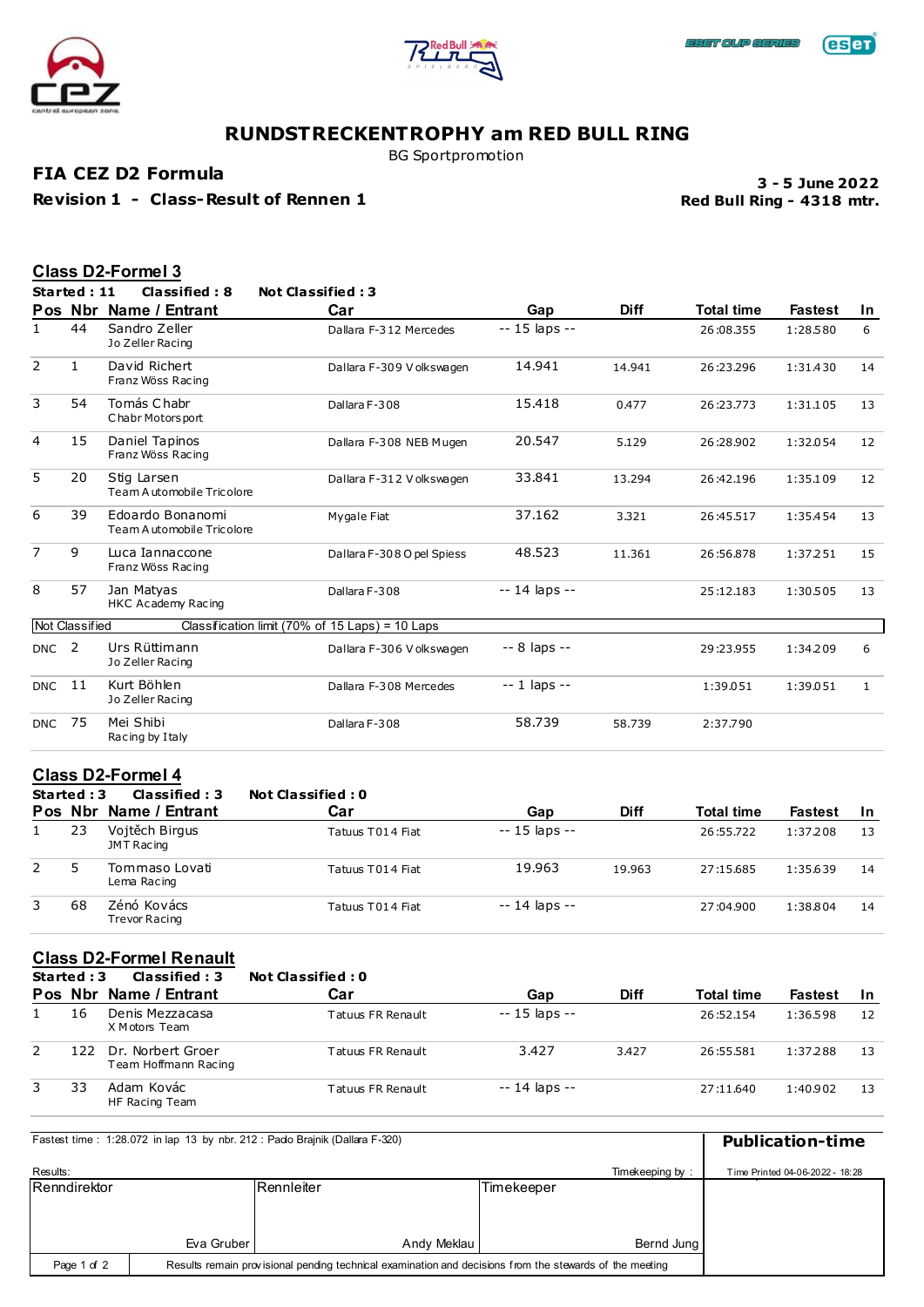





BG Sportpromotion

**FIA CEZ D2 Formula**

**Revision 1 - Class-Result of Rennen 1**

**Red Bull Ring - 4318 mtr. 3 - 5 June 2022**

|                |                | Class D2-Formel 3                             |                                                 |                |             |                   |                |              |
|----------------|----------------|-----------------------------------------------|-------------------------------------------------|----------------|-------------|-------------------|----------------|--------------|
|                | Started: 11    | Classified: 8                                 | <b>Not Classified: 3</b>                        |                |             |                   |                |              |
|                | Pos Nbr        | Name / Entrant                                | Car                                             | Gap            | <b>Diff</b> | <b>Total time</b> | <b>Fastest</b> | In.          |
| $\mathbf{1}$   | 44             | Sandro Zeller<br>Jo Zeller Racing             | Dallara F-312 Mercedes                          | $-15$ laps $-$ |             | 26:08.355         | 1:28.580       | 6            |
| 2              | $\mathbf{1}$   | David Richert<br>Franz Wöss Racing            | Dallara F-309 V olkswagen                       | 14.941         | 14.941      | 26:23.296         | 1:31.430       | 14           |
| 3              | 54             | Tomás Chabr<br>Chabr Motors port              | Dallara F-308                                   | 15.418         | 0.477       | 26:23.773         | 1:31.105       | 13           |
| 4              | 15             | Daniel Tapinos<br>Franz Wöss Racing           | Dallara F-308 NEB Mugen                         | 20.547         | 5.129       | 26:28.902         | 1:32.054       | 12           |
| 5              | 20             | Stig Larsen<br>Team Automobile Tricolore      | Dallara F-312 V olkswagen                       | 33.841         | 13.294      | 26:42.196         | 1:35.109       | 12           |
| 6              | 39             | Edoardo Bonanomi<br>Team Automobile Tricolore | My gale Fiat                                    | 37.162         | 3.321       | 26:45.517         | 1:35.454       | 13           |
| $\overline{7}$ | 9              | Luca Iannaccone<br>Franz Wöss Racing          | Dallara F-308 O pel Spiess                      | 48.523         | 11.361      | 26:56.878         | 1:37.251       | 15           |
| 8              | 57             | Jan Matyas<br>HKC Academy Racing              | Dallara F-308                                   | $-14$ laps $-$ |             | 25:12.183         | 1:30.505       | 13           |
|                | Not Classified |                                               | Classification limit (70% of 15 Laps) = 10 Laps |                |             |                   |                |              |
| <b>DNC</b>     | $\overline{2}$ | Urs Rüttimann<br>Jo Zeller Racing             | Dallara F-306 V olkswagen                       | -- 8 laps --   |             | 29:23.955         | 1:34.209       | 6            |
| <b>DNC</b>     | 11             | Kurt Böhlen<br>Jo Zeller Racing               | Dallara F-308 Mercedes                          | $-1$ laps $-$  |             | 1:39.051          | 1:39.051       | $\mathbf{1}$ |
| <b>DNC</b>     | 75             | Mei Shibi<br>Racing by I taly                 | Dallara F-308                                   | 58.739         | 58.739      | 2:37.790          |                |              |

### **Class D2-Formel 4**

|             | Started: 3 | Classified: 3                       | <b>Not Classified: 0</b> |                |             |                   |                |     |
|-------------|------------|-------------------------------------|--------------------------|----------------|-------------|-------------------|----------------|-----|
|             | Pos Nbr    | Name / Entrant                      | Car                      | Gap            | <b>Diff</b> | <b>Total time</b> | <b>Fastest</b> | -In |
|             | 23         | Vojtěch Birgus<br>JMT Racing        | Tatuus T014 Fiat         | $-15$ laps $-$ |             | 26:55.722         | 1:37.208       | 13  |
| $2^{\circ}$ | 5          | Tommaso Lovati<br>Lema Racing       | Tatuus T014 Fiat         | 19.963         | 19.963      | 27:15.685         | 1:35.639       | 14  |
| 3           | 68         | Zénó Kovács<br><b>Trevor Racing</b> | Tatuus T014 Fiat         | $-14$ laps $-$ |             | 27:04.900         | 1:38.804       | 14  |

### **Class D2-Formel Renault**

|   | Started: 3 | Classified: 3                             | Not Classified : 0 |               |             |                   |                |     |
|---|------------|-------------------------------------------|--------------------|---------------|-------------|-------------------|----------------|-----|
|   |            | Pos Nbr Name / Entrant                    | Car                | Gap           | <b>Diff</b> | <b>Total time</b> | <b>Fastest</b> | -In |
|   | 16         | Denis Mezzacasa<br>X Motors Team          | Tatuus FR Renault  | -- 15 laps -- |             | 26:52.154         | 1:36.598       | 12  |
|   | 122.       | Dr. Norbert Groer<br>Team Hoffmann Racing | Tatuus FR Renault  | 3.427         | 3.427       | 26:55.581         | 1:37.288       | 13  |
| 3 | 33         | Adam Kovác<br>HF Racing Team              | Tatuus FR Renault  | -- 14 laps -- |             | 27:11.640         | 1:40.902       | 13  |

|              | Fastest time: 1:28.072 in lap 13 by nbr. 212: Pado Brainik (Dallara F-320) |                                                                                                         |            |                 |                                 |  |  |
|--------------|----------------------------------------------------------------------------|---------------------------------------------------------------------------------------------------------|------------|-----------------|---------------------------------|--|--|
| Results:     |                                                                            |                                                                                                         |            | Timekeeping by: | Time Printed 04-06-2022 - 18:28 |  |  |
| Renndirektor |                                                                            | Rennleiter                                                                                              | Timekeeper |                 |                                 |  |  |
|              |                                                                            |                                                                                                         |            |                 |                                 |  |  |
|              | Eva Gruber                                                                 | Andy Meklau                                                                                             |            | Bernd Jung      |                                 |  |  |
| Page 1 of 2  |                                                                            | Results remain provisional pending technical examination and decisions from the stewards of the meeting |            |                 |                                 |  |  |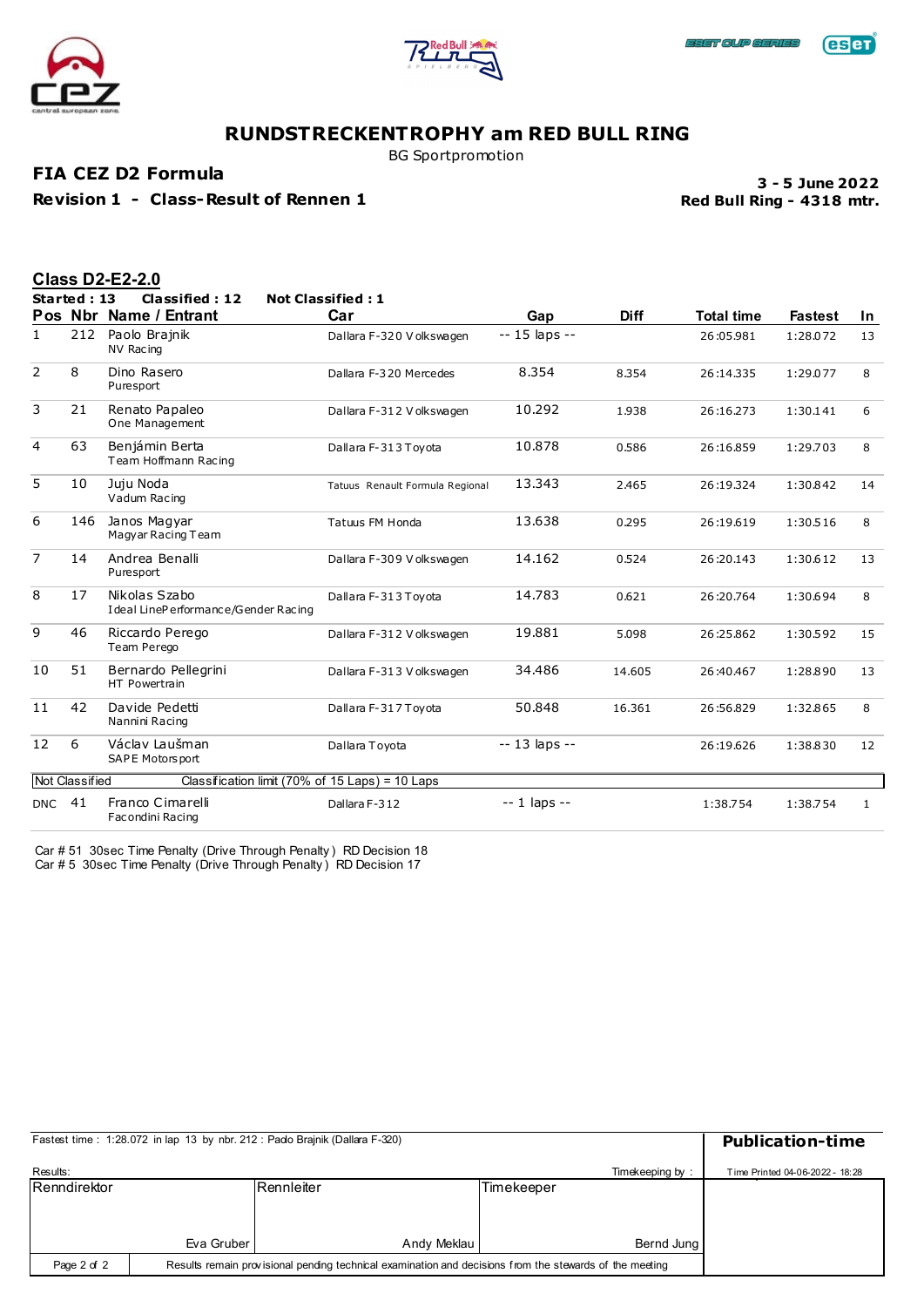





BG Sportpromotion

**FIA CEZ D2 Formula**

**Revision 1 - Class-Result of Rennen 1**

**Red Bull Ring - 4318 mtr. 3 - 5 June 2022**

|                |                       | <b>Class D2-E2-2.0</b>                                 |                                 |                    |             |                   |                |              |
|----------------|-----------------------|--------------------------------------------------------|---------------------------------|--------------------|-------------|-------------------|----------------|--------------|
|                | Started: 13           | Classified: 12                                         | <b>Not Classified: 1</b>        |                    |             |                   |                |              |
|                |                       | Pos Nbr Name / Entrant                                 | Car                             | Gap                | <b>Diff</b> | <b>Total time</b> | <b>Fastest</b> | In.          |
| 1              | 212                   | Paolo Brainik<br>NV Racing                             | Dallara F-320 V olkswagen       | $-15$ laps $-$     |             | 26:05.981         | 1:28.072       | 13           |
| 2              | 8                     | Dino Rasero<br>Puresport                               | Dallara F-320 Mercedes          | 8.354              | 8.354       | 26:14.335         | 1:29.077       | 8            |
| 3              | 21                    | Renato Papaleo<br>One Management                       | Dallara F-312 V olkswagen       | 10.292             | 1.938       | 26:16.273         | 1:30.141       | 6            |
| 4              | 63                    | Benjámin Berta<br>Team Hoffmann Racing                 | Dallara F-313 Toyota            | 10.878             | 0.586       | 26:16.859         | 1:29.703       | 8            |
| 5              | 10                    | Juju Noda<br>Vadum Racing                              | Tatuus Renault Formula Regional | 13.343             | 2.465       | 26:19.324         | 1:30.842       | 14           |
| 6              | 146                   | Janos Magyar<br>Magyar Racing Team                     | Tatuus FM Honda                 | 13.638             | 0.295       | 26:19.619         | 1:30.516       | 8            |
| $\overline{7}$ | 14                    | Andrea Benalli<br>Puresport                            | Dallara F-309 V olkswagen       | 14.162             | 0.524       | 26:20.143         | 1:30.612       | 13           |
| 8              | 17                    | Nikolas Szabo<br>I deal LineP erformance/Gender Racing | Dallara F-313 Toyota            | 14.783             | 0.621       | 26:20.764         | 1:30.694       | 8            |
| 9              | 46                    | Riccardo Perego<br>Team Perego                         | Dallara F-312 V olkswagen       | 19.881             | 5.098       | 26:25.862         | 1:30.592       | 15           |
| 10             | 51                    | Bernardo Pellegrini<br>HT Powertrain                   | Dallara F-313 V olkswagen       | 34.486             | 14.605      | 26:40.467         | 1:28.890       | 13           |
| 11             | 42                    | Davide Pedetti<br>Nannini Racing                       | Dallara F-317 Toyota            | 50.848             | 16.361      | 26:56.829         | 1:32.865       | 8            |
| 12             | 6                     | Václav Laušman<br>SAPE Motors port                     | Dallara Toyota                  | -- 13 laps --      |             | 26:19.626         | 1:38.830       | 12           |
|                | <b>Not Classified</b> | Classification limit (70% of 15 Laps) = 10 Laps        |                                 |                    |             |                   |                |              |
| <b>DNC</b>     | 41                    | Franco Cimarelli<br>Facondini Racing                   | Dallara F-312                   | $- - 1$ laps $- -$ |             | 1:38.754          | 1:38.754       | $\mathbf{1}$ |

Car # 51 30sec Time Penalty (Drive Through Penalty ) RD Decision 18 Car # 5 30sec Time Penalty (Drive Through Penalty ) RD Decision 17

|                     |            | Fastest time: 1:28.072 in lap 13 by nbr. 212: Pado Brainik (Dallara F-320)                              |            |                 | <b>Publication-time</b>         |
|---------------------|------------|---------------------------------------------------------------------------------------------------------|------------|-----------------|---------------------------------|
| Results:            |            |                                                                                                         |            | Timekeeping by: | Time Printed 04-06-2022 - 18:28 |
| <b>Renndirektor</b> |            | <b>IRennleiter</b>                                                                                      | Timekeeper |                 |                                 |
|                     |            |                                                                                                         |            |                 |                                 |
|                     | Eva Gruber | Andy Meklau                                                                                             |            | Bernd Jung      |                                 |
| Page 2 of 2         |            | Results remain provisional pending technical examination and decisions from the stewards of the meeting |            |                 |                                 |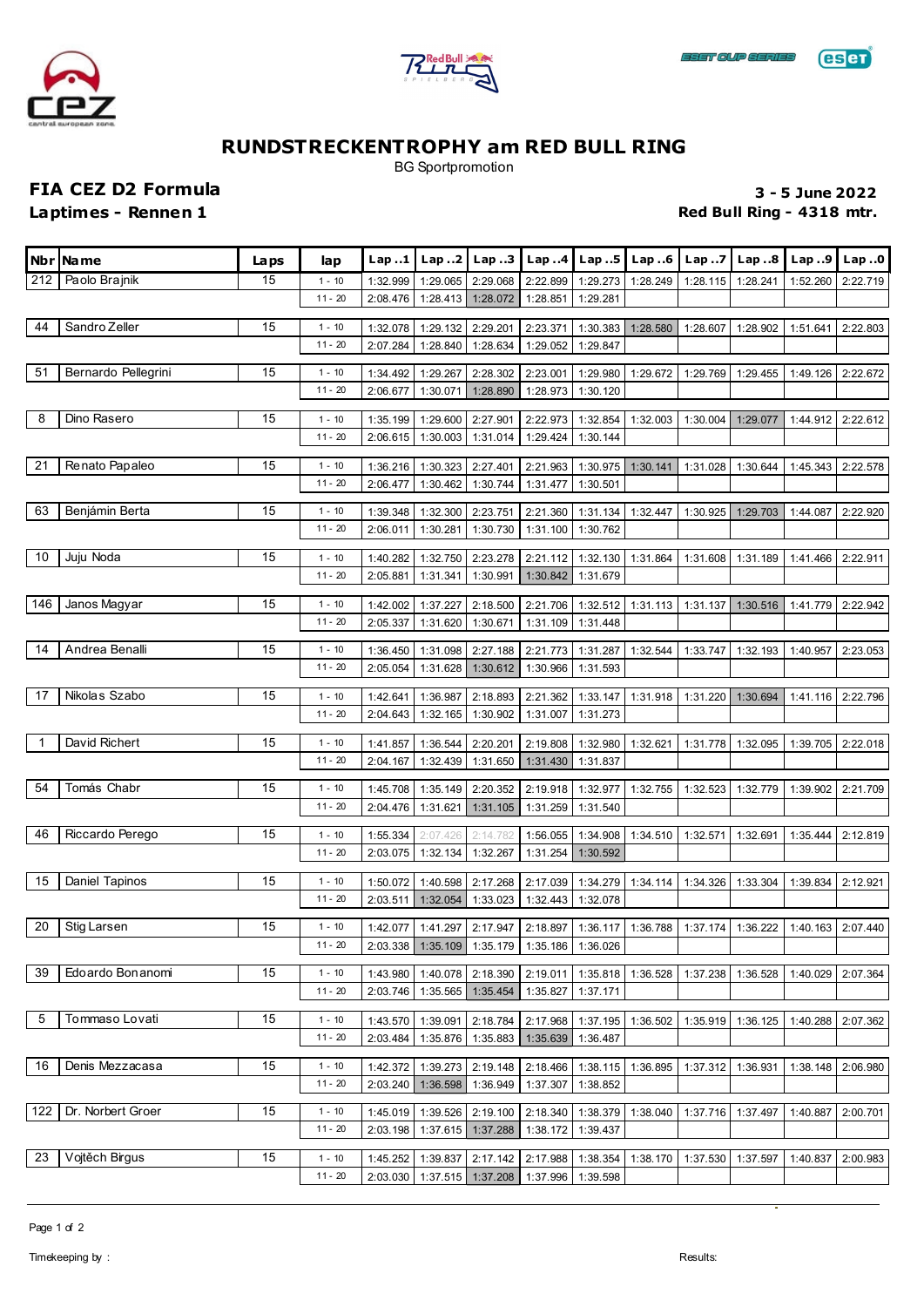





BG Sportpromotion

**FIA CEZ D2 Formula 3 - 5 June 2022**

**Laptimes - Rennen 1 Red Bull Ring - 4318 mtr.** 

|                | Nbr Name            | La ps | lap                   | Lap.1                |                            | Lap2   Lap3                                  |                      |                      | Lap4   Lap5   Lap6 | Lap.7    | Lap. .8  | Lap.9    | Lap.0    |
|----------------|---------------------|-------|-----------------------|----------------------|----------------------------|----------------------------------------------|----------------------|----------------------|--------------------|----------|----------|----------|----------|
| 212            | Paolo Brajnik       | 15    | $1 - 10$              | 1:32.999             | 1:29.065                   | 2:29.068                                     | 2:22.899             | 1:29.273             | 1:28.249           | 1:28.115 | 1:28.241 | 1:52.260 | 2:22.719 |
|                |                     |       | $11 - 20$             | 2:08.476             | 1:28.413                   | 1:28.072                                     | 1:28.851             | 1:29.281             |                    |          |          |          |          |
| 44             | Sandro Zeller       | 15    | $1 - 10$              | 1:32.078             | 1:29.132                   | 2:29.201                                     | 2:23.371             | 1:30.383             | 1:28.580           | 1:28.607 | 1:28.902 | 1:51.641 | 2:22.803 |
|                |                     |       | $11 - 20$             | 2:07.284             | 1:28.840                   | 1:28.634                                     | 1:29.052             | 1:29.847             |                    |          |          |          |          |
| 51             | Bernardo Pellegrini | 15    | $1 - 10$              | 1:34.492             | 1:29.267                   | 2:28.302                                     | 2:23.001             | 1:29.980             | 1:29.672           | 1:29.769 | 1:29.455 | 1:49.126 | 2:22.672 |
|                |                     |       | $11 - 20$             | 2:06.677             | 1:30.071                   | 1:28.890                                     | 1:28.973             | 1:30.120             |                    |          |          |          |          |
| 8              | Dino Rasero         | 15    |                       |                      |                            |                                              |                      |                      |                    |          |          |          |          |
|                |                     |       | $1 - 10$<br>$11 - 20$ | 1:35.199<br>2:06.615 | 1:29.600<br>1:30.003       | 2:27.901<br>1:31.014                         | 2:22.973<br>1:29.424 | 1:32.854<br>1:30.144 | 1:32.003           | 1:30.004 | 1:29.077 | 1:44.912 | 2:22.612 |
|                |                     |       |                       |                      |                            |                                              |                      |                      |                    |          |          |          |          |
| 21             | Renato Papaleo      | 15    | $1 - 10$              | 1:36.216             | 1:30.323                   | 2:27.401                                     | 2:21.963             | 1:30.975             | 1:30.141           | 1:31.028 | 1:30.644 | 1:45.343 | 2:22.578 |
|                |                     |       | $11 - 20$             | 2:06.477             | 1:30.462                   | 1:30.744                                     | 1:31.477             | 1:30.501             |                    |          |          |          |          |
| 63             | Benjámin Berta      | 15    | $1 - 10$              | 1:39.348             | 1:32.300                   | 2:23.751                                     | 2:21.360             | 1:31.134             | 1:32.447           | 1:30.925 | 1:29.703 | 1:44.087 | 2:22.920 |
|                |                     |       | $11 - 20$             | 2:06.011             | 1:30.281                   | 1:30.730                                     | 1:31.100             | 1:30.762             |                    |          |          |          |          |
| 10             | Juju Noda           | 15    | $1 - 10$              | 1:40.282             | 1:32.750                   | 2:23.278                                     | 2:21.112             | 1:32.130 1:31.864    |                    | 1:31.608 | 1:31.189 | 1:41.466 | 2:22.911 |
|                |                     |       | $11 - 20$             | 2:05.881             | 1:31.341                   | 1:30.991                                     | 1:30.842             | 1:31.679             |                    |          |          |          |          |
| 146            |                     | 15    |                       |                      |                            |                                              |                      |                      |                    |          |          |          |          |
|                | Janos Magyar        |       | $1 - 10$<br>$11 - 20$ | 1:42.002<br>2:05.337 | 1:37.227<br>1:31.620       | 2:18.500<br>1:30.671                         | 2:21.706<br>1:31.109 | 1:32.512<br>1:31.448 | 1:31.113           | 1:31.137 | 1:30.516 | 1:41.779 | 2:22.942 |
|                |                     |       |                       |                      |                            |                                              |                      |                      |                    |          |          |          |          |
| 14             | Andrea Benalli      | 15    | $1 - 10$              | 1:36.450             | 1:31.098                   | 2:27.188                                     | 2:21.773             | 1:31.287             | 1:32.544           | 1:33.747 | 1:32.193 | 1:40.957 | 2:23.053 |
|                |                     |       | $11 - 20$             | 2:05.054             | 1:31.628                   | 1:30.612                                     | 1:30.966             | 1:31.593             |                    |          |          |          |          |
| 17             | Nikolas Szabo       | 15    | $1 - 10$              | 1:42.641             | 1:36.987                   | 2:18.893                                     | 2:21.362             | 1:33.147             | 1:31.918           | 1:31.220 | 1:30.694 | 1:41.116 | 2:22.796 |
|                |                     |       | $11 - 20$             | 2:04.643             | 1:32.165                   | 1:30.902                                     | 1:31.007             | 1:31.273             |                    |          |          |          |          |
| $\overline{1}$ | David Richert       | 15    | $1 - 10$              | 1:41.857             | 1:36.544                   | 2:20.201                                     | 2:19.808             | 1:32.980             | 1:32.621           | 1:31.778 | 1:32.095 | 1:39.705 | 2:22.018 |
|                |                     |       | $11 - 20$             | 2:04.167             | 1:32.439                   | 1:31.650                                     | 1:31.430             | 1:31.837             |                    |          |          |          |          |
| 54             | Tomás Chabr         | 15    | $1 - 10$              | 1:45.708             | 1:35.149                   | 2:20.352                                     | 2:19.918             | 1:32.977             | 1:32.755           | 1:32.523 | 1:32.779 | 1:39.902 | 2:21.709 |
|                |                     |       | $11 - 20$             | 2:04.476             | 1:31.621                   | 1:31.105                                     | 1:31.259             | 1:31.540             |                    |          |          |          |          |
|                |                     |       |                       |                      |                            |                                              |                      |                      |                    |          |          |          |          |
| 46             | Riccardo Perego     | 15    | $1 - 10$<br>$11 - 20$ | 1:55.334             | 2:07.426                   | 2:14.782                                     | 1:56.055             | 1:34.908             | 1:34.510           | 1:32.571 | 1:32.691 | 1:35.444 | 2:12.819 |
|                |                     |       |                       | 2:03.075             | 1:32.134                   | 1:32.267                                     | 1:31.254             | 1:30.592             |                    |          |          |          |          |
| 15             | Daniel Tapinos      | 15    | $1 - 10$              | 1:50.072             | 1:40.598                   | 2:17.268                                     | 2:17.039             | 1:34.279             | 1:34.114           | 1:34.326 | 1:33.304 | 1:39.834 | 2:12.921 |
|                |                     |       | $11 - 20$             | 2:03.511             | 1:32.054                   | 1:33.023                                     | 1:32.443             | 1:32.078             |                    |          |          |          |          |
| 20             | Stig Larsen         | 15    | $1 - 10$              | 1:42.077             | 1:41.297                   | 2:17.947                                     | 2:18.897             | 1:36.117             | 1:36.788           | 1:37.174 | 1:36.222 | 1:40.163 | 2:07.440 |
|                |                     |       | $11 - 20$             |                      |                            | 2:03.338 1:35.109 1:35.179 1:35.186 1:36.026 |                      |                      |                    |          |          |          |          |
| 39             | Edoardo Bonanomi    | 15    | $1 - 10$              | 1:43.980             |                            | 1:40.078 2:18.390                            | 2:19.011             | 1:35.818             | 1:36.528           | 1:37.238 | 1:36.528 | 1:40.029 | 2:07.364 |
|                |                     |       | $11 - 20$             | 2:03.746             | 1:35.565 1:35.454          |                                              | 1:35.827             | 1:37.171             |                    |          |          |          |          |
|                |                     |       |                       |                      |                            |                                              |                      |                      |                    |          |          |          |          |
| 5              | Tommaso Lovati      | 15    | $1 - 10$<br>$11 - 20$ | 1:43.570             | 1:39.091                   | 2:18.784                                     | 2:17.968             | 1:37.195             | 1:36.502           | 1:35.919 | 1:36.125 | 1:40.288 | 2:07.362 |
|                |                     |       |                       | 2:03.484             | 1:35.876                   | 1:35.883                                     | 1:35.639             | 1:36.487             |                    |          |          |          |          |
| 16             | Denis Mezzacasa     | 15    | $1 - 10$              | 1:42.372             | 1:39.273                   | 2:19.148                                     | 2:18.466             | 1:38.115             | 1:36.895           | 1:37.312 | 1:36.931 | 1:38.148 | 2:06.980 |
|                |                     |       | $11 - 20$             | 2:03.240             | 1:36.598                   | 1:36.949                                     | 1:37.307             | 1:38.852             |                    |          |          |          |          |
| 122            | Dr. Norbert Groer   | 15    | $1 - 10$              | 1:45.019             | 1:39.526                   | 2:19.100                                     | 2:18.340             | 1:38.379             | 1:38.040           | 1:37.716 | 1:37.497 | 1:40.887 | 2:00.701 |
|                |                     |       | $11 - 20$             | 2:03.198             | 1:37.615                   | 1:37.288                                     | 1:38.172             | 1:39.437             |                    |          |          |          |          |
| 23             | Vojtěch Birgus      | 15    | $1 - 10$              | 1:45.252             | 1:39.837                   | 2:17.142                                     | 2:17.988             | 1:38.354             | 1:38.170           | 1:37.530 | 1:37.597 | 1:40.837 | 2:00.983 |
|                |                     |       | $11 - 20$             |                      | 2:03.030 1:37.515 1:37.208 |                                              | 1:37.996             | 1:39.598             |                    |          |          |          |          |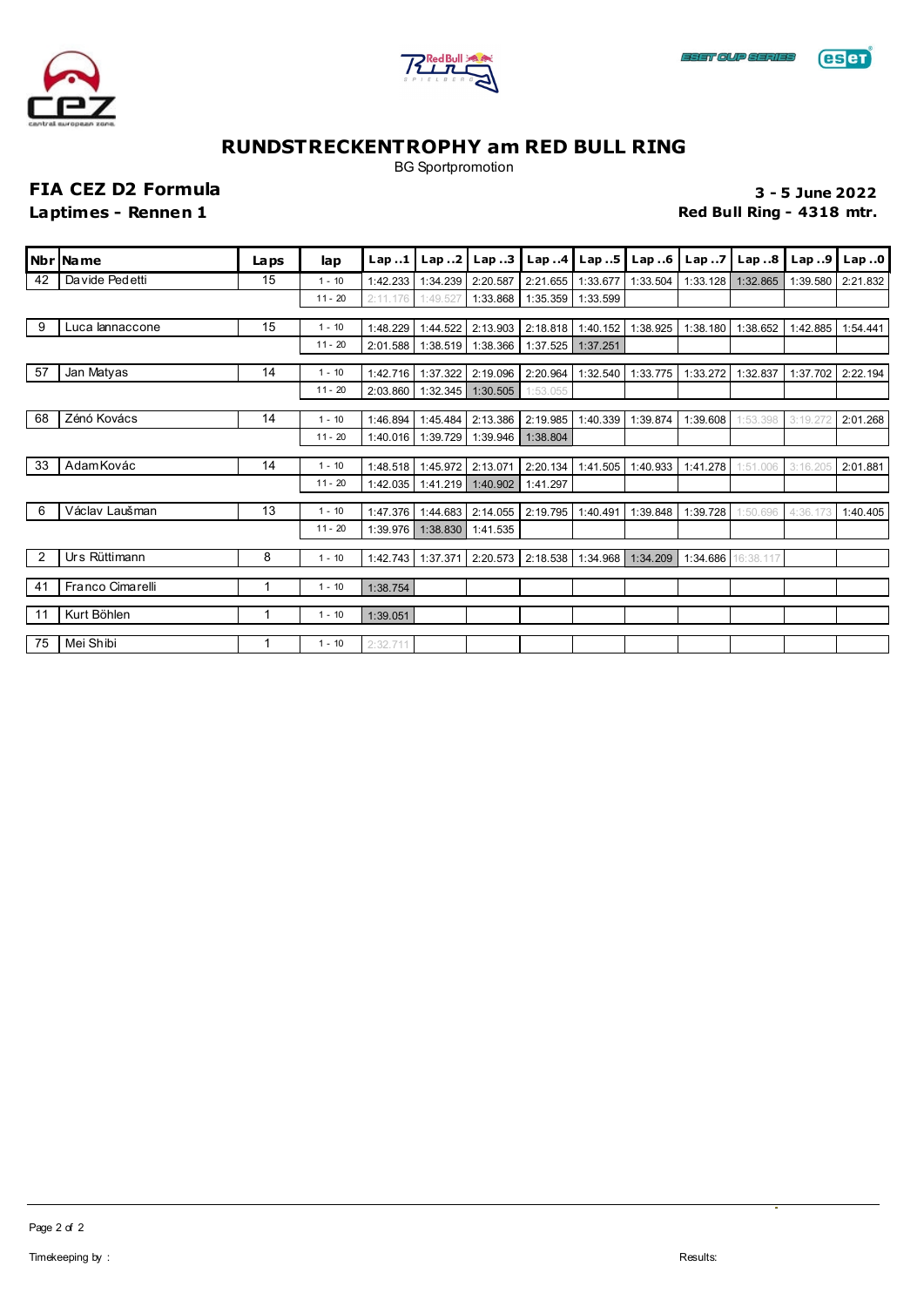





BG Sportpromotion

**FIA CEZ D2 Formula 3 - 5 June 2022**

**Laptimes - Rennen 1 Red Bull Ring - 4318 mtr.** 

|    | Nbr   Name       | Laps | lap       | Lap.1    | Lap2     | Lap.3    |                            | Lap4   Lap5       | Lap.6    |          | Lap7 $\vert$ Lap8  | Lap.9    | Lap.0    |
|----|------------------|------|-----------|----------|----------|----------|----------------------------|-------------------|----------|----------|--------------------|----------|----------|
| 42 | Da vide Ped etti | 15   | $1 - 10$  | 1:42.233 | 1:34.239 | 2:20.587 | 2:21.655                   | 1:33.677          | 1:33.504 | 1:33.128 | 1:32.865           | 1:39.580 | 2:21.832 |
|    |                  |      | $11 - 20$ | 2:11.176 | 1:49.527 | 1:33.868 |                            | 1:35.359 1:33.599 |          |          |                    |          |          |
| 9  | Luca lannaccone  | 15   | $1 - 10$  | 1:48.229 | 1:44.522 | 2:13.903 |                            | 2:18.818 1:40.152 | 1:38.925 | 1:38.180 | 1:38.652           | 1:42.885 | 1:54.441 |
|    |                  |      | $11 - 20$ | 2:01.588 | 1:38.519 | 1:38.366 | 1:37.525                   | 1:37.251          |          |          |                    |          |          |
| 57 | Jan Matyas       | 14   | $1 - 10$  | 1:42.716 | 1:37.322 | 2:19.096 | 2:20.964                   | 1:32.540          | 1:33.775 | 1:33.272 | 1:32.837           | 1:37.702 | 2:22.194 |
|    |                  |      | $11 - 20$ | 2:03.860 | 1:32.345 | 1:30.505 | 1:53.055                   |                   |          |          |                    |          |          |
|    |                  |      |           |          |          |          |                            |                   |          |          |                    |          |          |
| 68 | Zénó Kovács      | 14   | $1 - 10$  | 1:46.894 | 1:45.484 | 2:13.386 | 2:19.985                   | 1:40.339          | 1:39.874 | 1:39.608 | 1:53.398           | 3:19.272 | 2:01.268 |
|    |                  |      | $11 - 20$ | 1:40.016 | 1:39.729 | 1:39.946 | 1:38.804                   |                   |          |          |                    |          |          |
| 33 | Adam Kovác       | 14   | $1 - 10$  | 1:48.518 | 1:45.972 | 2:13.071 | 2:20.134                   | 1:41.505          | 1:40.933 | 1:41.278 | 1:51.006           | 3:16.205 | 2:01.881 |
|    |                  |      | $11 - 20$ | 1:42.035 | 1:41.219 | 1:40.902 | 1:41.297                   |                   |          |          |                    |          |          |
| 6  | Václav Laušman   | 13   | $1 - 10$  | 1:47.376 | 1:44.683 | 2:14.055 | 2:19.795                   | 1:40.491          | 1:39.848 | 1:39.728 | 1:50.696           | 4:36.173 | 1:40.405 |
|    |                  |      | $11 - 20$ | 1:39.976 | 1:38.830 | 1:41.535 |                            |                   |          |          |                    |          |          |
| 2  | Urs Rüttimann    | 8    | $1 - 10$  | 1:42.743 | 1:37.371 |          | 2:20.573 2:18.538 1:34.968 |                   | 1:34.209 |          | 1:34.686 16:38.117 |          |          |
|    |                  |      |           |          |          |          |                            |                   |          |          |                    |          |          |
| 41 | Franco Cimarelli | 1    | $1 - 10$  | 1:38.754 |          |          |                            |                   |          |          |                    |          |          |
| 11 | Kurt Böhlen      | 1    | $1 - 10$  | 1:39.051 |          |          |                            |                   |          |          |                    |          |          |
|    |                  |      |           |          |          |          |                            |                   |          |          |                    |          |          |
| 75 | Mei Shibi        |      | $1 - 10$  | 2:32.711 |          |          |                            |                   |          |          |                    |          |          |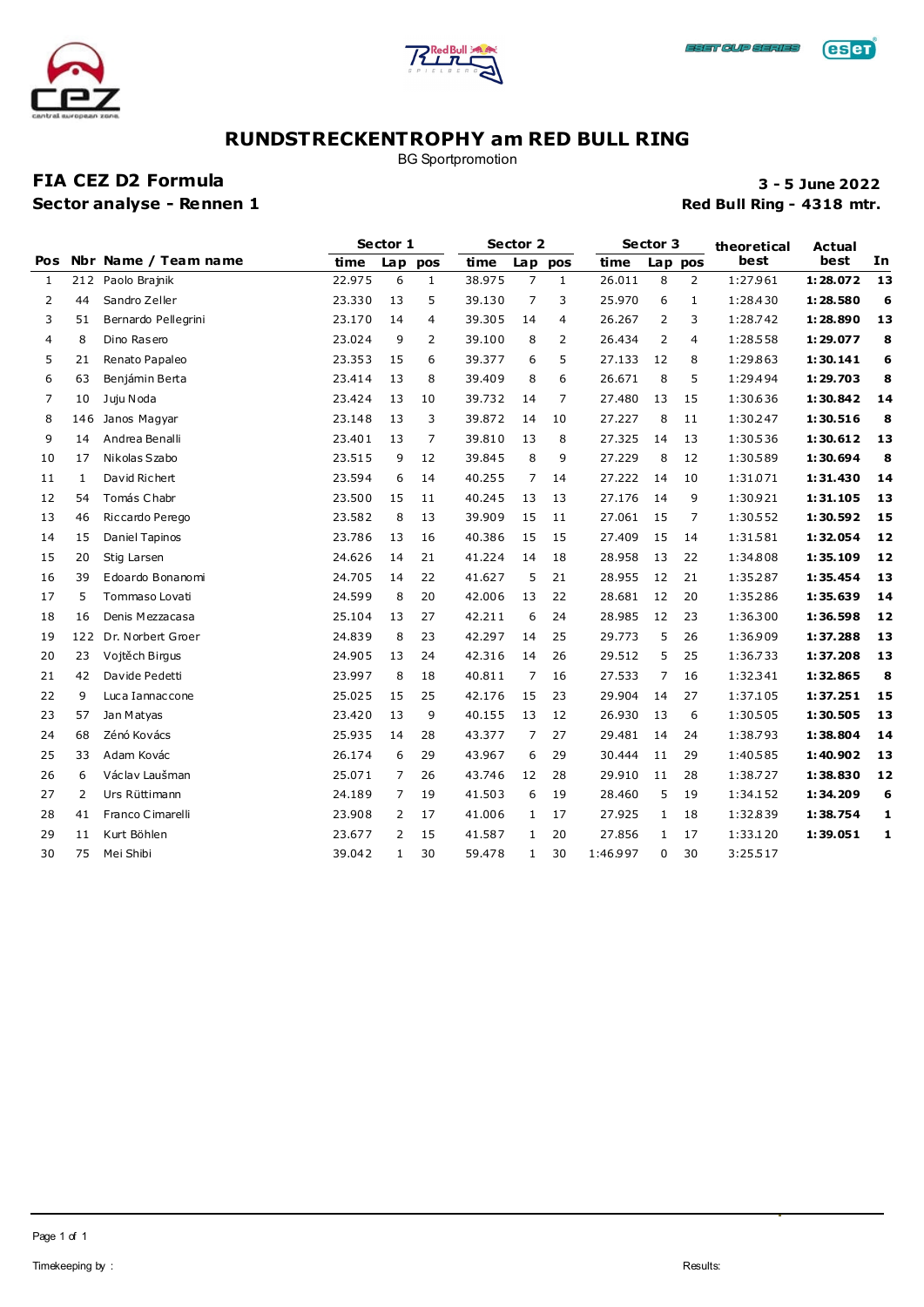





BG Sportpromotion

### **FIA CEZ D2 Formula 3 - 5 June 2022 Sector analyse - Rennen 1 Red Bull Ring - 4318 mtr.**

**eser** 

|     |                |                      |        | Sector 1       |              |        | Sector 2       |    |          | Sector 3       |         | theoretical | Actual   |    |
|-----|----------------|----------------------|--------|----------------|--------------|--------|----------------|----|----------|----------------|---------|-------------|----------|----|
| Pos |                | Nbr Name / Team name | time   |                | Lap pos      | time   | Lap pos        |    | time     |                | Lap pos | best        | best     | In |
| 1   | 212            | Paolo Brajnik        | 22.975 | 6              | $\mathbf{1}$ | 38.975 | $\overline{7}$ | 1  | 26.011   | 8              | 2       | 1:27.961    | 1:28.072 | 13 |
| 2   | 44             | Sandro Zeller        | 23.330 | 13             | 5            | 39.130 | 7              | 3  | 25.970   | 6              | 1       | 1:28.430    | 1:28.580 | 6  |
| 3   | 51             | Bernardo Pellegrini  | 23.170 | 14             | 4            | 39.305 | 14             | 4  | 26.267   | $\overline{2}$ | 3       | 1:28.742    | 1:28.890 | 13 |
| 4   | 8              | Dino Rasero          | 23.024 | 9              | 2            | 39.100 | 8              | 2  | 26.434   | 2              | 4       | 1:28.558    | 1:29.077 | 8  |
| 5   | 21             | Renato Papaleo       | 23.353 | 15             | 6            | 39.377 | 6              | 5  | 27.133   | 12             | 8       | 1:29.863    | 1:30.141 | 6  |
| 6   | 63             | Benjámin Berta       | 23.414 | 13             | 8            | 39.409 | 8              | 6  | 26.671   | 8              | 5       | 1:29.494    | 1:29.703 | 8  |
| 7   | 10             | Juju Noda            | 23.424 | 13             | 10           | 39.732 | 14             | 7  | 27.480   | 13             | 15      | 1:30.636    | 1:30.842 | 14 |
| 8   | 146            | Janos Magyar         | 23.148 | 13             | 3            | 39.872 | 14             | 10 | 27.227   | 8              | 11      | 1:30.247    | 1:30.516 | 8  |
| 9   | 14             | Andrea Benalli       | 23.401 | 13             | 7            | 39.810 | 13             | 8  | 27.325   | 14             | 13      | 1:30.536    | 1:30.612 | 13 |
| 10  | 17             | Nikolas Szabo        | 23.515 | 9              | 12           | 39.845 | 8              | 9  | 27.229   | 8              | 12      | 1:30.589    | 1:30.694 | 8  |
| 11  | $\mathbf{1}$   | David Richert        | 23.594 | 6              | 14           | 40.255 | 7              | 14 | 27.222   | 14             | 10      | 1:31.071    | 1:31.430 | 14 |
| 12  | 54             | Tomás Chabr          | 23.500 | 15             | 11           | 40.245 | 13             | 13 | 27.176   | 14             | 9       | 1:30.921    | 1:31.105 | 13 |
| 13  | 46             | Riccardo Perego      | 23.582 | 8              | 13           | 39.909 | 15             | 11 | 27.061   | 15             | 7       | 1:30.552    | 1:30.592 | 15 |
| 14  | 15             | Daniel Tapinos       | 23.786 | 13             | 16           | 40.386 | 15             | 15 | 27.409   | 15             | 14      | 1:31.581    | 1:32.054 | 12 |
| 15  | 20             | Stig Larsen          | 24.626 | 14             | 21           | 41.224 | 14             | 18 | 28.958   | 13             | 22      | 1:34.808    | 1:35.109 | 12 |
| 16  | 39             | Edoardo Bonanomi     | 24.705 | 14             | 22           | 41.627 | 5              | 21 | 28.955   | 12             | 21      | 1:35.287    | 1:35.454 | 13 |
| 17  | 5              | Tommaso Lovati       | 24.599 | 8              | 20           | 42.006 | 13             | 22 | 28.681   | 12             | 20      | 1:35.286    | 1:35.639 | 14 |
| 18  | 16             | Denis Mezzacasa      | 25.104 | 13             | 27           | 42.211 | 6              | 24 | 28.985   | 12             | 23      | 1:36.300    | 1:36.598 | 12 |
| 19  | 122            | Dr. Norbert Groer    | 24.839 | 8              | 23           | 42.297 | 14             | 25 | 29.773   | 5              | 26      | 1:36.909    | 1:37.288 | 13 |
| 20  | 23             | Vojtěch Birgus       | 24.905 | 13             | 24           | 42.316 | 14             | 26 | 29.512   | 5              | 25      | 1:36.733    | 1:37.208 | 13 |
| 21  | 42             | Davide Pedetti       | 23.997 | 8              | 18           | 40.811 | 7              | 16 | 27.533   | 7              | 16      | 1:32.341    | 1:32.865 | 8  |
| 22  | 9              | Luca Iannaccone      | 25.025 | 15             | 25           | 42.176 | 15             | 23 | 29.904   | 14             | 27      | 1:37.105    | 1:37.251 | 15 |
| 23  | 57             | Jan Matyas           | 23.420 | 13             | 9            | 40.155 | 13             | 12 | 26.930   | 13             | 6       | 1:30.505    | 1:30.505 | 13 |
| 24  | 68             | Zénó Kovács          | 25.935 | 14             | 28           | 43.377 | $\overline{7}$ | 27 | 29.481   | 14             | 24      | 1:38.793    | 1:38.804 | 14 |
| 25  | 33             | Adam Kovác           | 26.174 | 6              | 29           | 43.967 | 6              | 29 | 30.444   | 11             | 29      | 1:40.585    | 1:40.902 | 13 |
| 26  | 6              | Václav Laušman       | 25.071 | $\overline{7}$ | 26           | 43.746 | 12             | 28 | 29.910   | 11             | 28      | 1:38.727    | 1:38.830 | 12 |
| 27  | $\overline{2}$ | Urs Rüttimann        | 24.189 | $\overline{7}$ | 19           | 41.503 | 6              | 19 | 28.460   | 5              | 19      | 1:34.152    | 1:34.209 | 6  |
| 28  | 41             | Franco Cimarelli     | 23,908 | 2              | 17           | 41.006 | 1              | 17 | 27.925   | 1              | 18      | 1:32.839    | 1:38.754 | 1  |
| 29  | 11             | Kurt Böhlen          | 23.677 | 2              | 15           | 41.587 | 1              | 20 | 27.856   | 1              | 17      | 1:33.120    | 1:39.051 | 1  |
| 30  | 75             | Mei Shibi            | 39.042 | $\mathbf{1}$   | 30           | 59.478 | $\mathbf{1}$   | 30 | 1:46.997 | 0              | 30      | 3:25.517    |          |    |
|     |                |                      |        |                |              |        |                |    |          |                |         |             |          |    |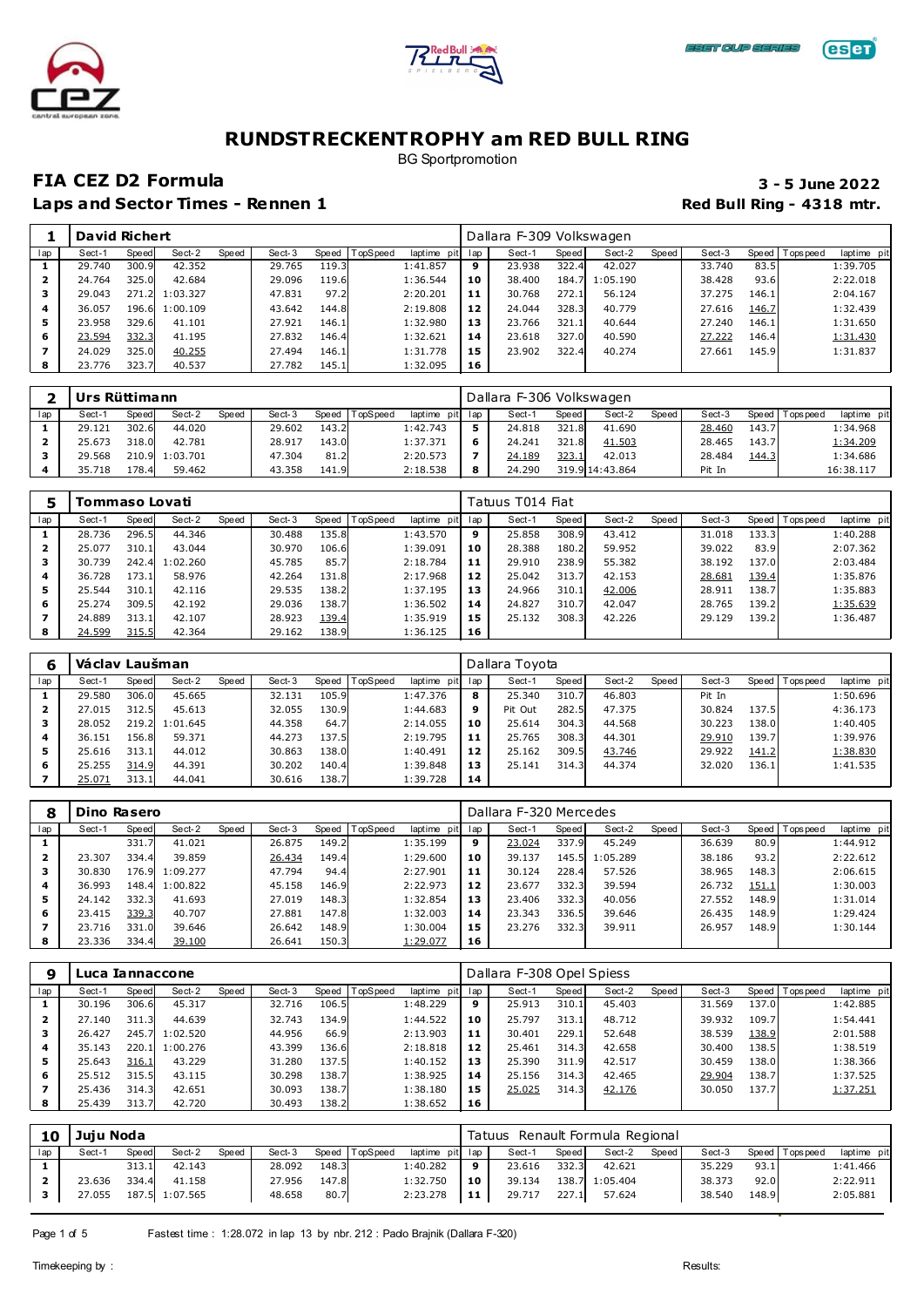





BG Sportpromotion

## **FIA CEZ D2 Formula 3 - 5 June 2022**

|     | <b>David Richert</b> |       |                |       |        |       |          |             |     | Dallara F-309 Volkswagen |       |          |       |        |       |                 |             |
|-----|----------------------|-------|----------------|-------|--------|-------|----------|-------------|-----|--------------------------|-------|----------|-------|--------|-------|-----------------|-------------|
| lap | Sect-1               | Speed | Sect-2         | Speed | Sect-3 | Speed | TopSpeed | laptime pit | lap | Sect-1                   | Speed | Sect-2   | Speed | Sect-3 |       | Speed Tops peed | laptime pit |
|     | 29.740               | 300.9 | 42.352         |       | 29.765 | 119.3 |          | 1:41.857    | 9   | 23.938                   | 322.4 | 42.027   |       | 33.740 | 83.5  |                 | 1:39.705    |
| 2   | 24.764               | 325.0 | 42.684         |       | 29.096 | 119.6 |          | 1:36.544    | 10  | 38.400                   | 184.  | 1:05.190 |       | 38.428 | 93.6  |                 | 2:22.018    |
|     | 29.043               |       | 271.2 1:03.327 |       | 47.831 | 97.2  |          | 2:20.201    | 11  | 30.768                   | 272.1 | 56.124   |       | 37.275 | 146.1 |                 | 2:04.167    |
| 4   | 36.057               |       | 196.6 1:00.109 |       | 43.642 | 144.8 |          | 2:19.808    | 12  | 24.044                   | 328.3 | 40.779   |       | 27.616 | 146.7 |                 | 1:32.439    |
| 5   | 23.958               | 329.6 | 41.101         |       | 27.921 | 146.1 |          | 1:32.980    | 13  | 23.766                   | 321.1 | 40.644   |       | 27.240 | 146.1 |                 | 1:31.650    |
| 6   | 23.594               | 332.3 | 41.195         |       | 27.832 | 146.4 |          | 1:32.621    | 14  | 23.618                   | 327.0 | 40.590   |       | 27.222 | 146.4 |                 | 1:31.430    |
|     | 24.029               | 325.0 | 40.255         |       | 27.494 | 146.1 |          | 1:31.778    | 15  | 23.902                   | 322.4 | 40.274   |       | 27.661 | 145.9 |                 | 1:31.837    |
|     | 23.776               | 323.7 | 40.537         |       | 27.782 | 145.1 |          | 1:32.095    | 16  |                          |       |          |       |        |       |                 |             |

|     | Urs Rüttimann |       |                |              |        |       |          |             |     | Dallara F-306 Volkswagen |       |                 |       |        |       |                 |             |
|-----|---------------|-------|----------------|--------------|--------|-------|----------|-------------|-----|--------------------------|-------|-----------------|-------|--------|-------|-----------------|-------------|
| lap | Sect-1        | Speed | Sect-2         | <b>Speed</b> | Sect-3 | Speed | TopSpeed | laptime pit | lap | Sect-1                   | Speed | Sect-2          | Speed | Sect-3 |       | Speed Tops peed | laptime pit |
|     | 29.121        | 302.6 | 44.020         |              | 29.602 | 143.2 |          | 1:42.743    |     | 24.818                   | 321.8 | 41.690          |       | 28.460 | 143.7 |                 | 1:34.968    |
|     | 25.673        | 318.0 | 42.781         |              | 28.917 | 143.0 |          | 1:37.371    | 6   | 24.241                   | 321.8 | 41.503          |       | 28.465 | 143.7 |                 | 1:34.209    |
|     | 29.568        |       | 210.9 1:03.701 |              | 47.304 | 81.2  |          | 2:20.573    |     | 24.189                   | 323.1 | 42.013          |       | 28.484 | 144.3 |                 | 1:34.686    |
|     | 35.718        | 178.4 | 59.462         |              | 43.358 | 141.9 |          | 2:18.538    | 8   | 24.290                   |       | 319.9 14:43.864 |       | Pit In |       |                 | 16:38.117   |

|     | Tommaso Lovati |       |          |       |        |       |                 |                |     | Tatuus T014 Fiat |       |        |       |        |       |                 |             |
|-----|----------------|-------|----------|-------|--------|-------|-----------------|----------------|-----|------------------|-------|--------|-------|--------|-------|-----------------|-------------|
| lap | Sect-1         | Speed | Sect-2   | Speed | Sect-3 | Speed | <b>TopSpeed</b> | laptime<br>pit | lap | Sect-1           | Speed | Sect-2 | Speed | Sect-3 |       | Speed Tops peed | laptime pit |
|     | 28.736         | 296.5 | 44.346   |       | 30.488 | 135.8 |                 | 1:43.570       | 9   | 25.858           | 308.9 | 43.412 |       | 31.018 | 133.3 |                 | 1:40.288    |
| ◢   | 25.077         | 310.1 | 43.044   |       | 30.970 | 106.6 |                 | 1:39.091       | 10  | 28.388           | 180.2 | 59.952 |       | 39.022 | 83.9  |                 | 2:07.362    |
|     | 30.739         | 242.4 | 1:02.260 |       | 45.785 | 85.7  |                 | 2:18.784       | 11  | 29.910           | 238.9 | 55.382 |       | 38.192 | 137.0 |                 | 2:03.484    |
| 4   | 36.728         | 173.1 | 58.976   |       | 42.264 | 131.8 |                 | 2:17.968       | 12  | 25.042           | 313.7 | 42.153 |       | 28.681 | 139.4 |                 | 1:35.876    |
| 5   | 25.544         | 310.1 | 42.116   |       | 29.535 | 138.2 |                 | 1:37.195       | 13  | 24.966           | 310.1 | 42.006 |       | 28.911 | 138.7 |                 | 1:35.883    |
| 6   | 25.274         | 309.5 | 42.192   |       | 29.036 | 138.7 |                 | 1:36.502       | 14  | 24.827           | 310.7 | 42.047 |       | 28.765 | 139.2 |                 | 1:35.639    |
|     | 24.889         | 313.1 | 42.107   |       | 28.923 | 139.4 |                 | 1:35.919       | 15  | 25.132           | 308.3 | 42.226 |       | 29.129 | 139.2 |                 | 1:36.487    |
| 8   | 24.599         | 315.5 | 42.364   |       | 29.162 | 138.9 |                 | 1:36.125       | 16  |                  |       |        |       |        |       |                 |             |

|     | Václav Laušman |       |          |       |        |       |          |             |     | Dallara Tovota |       |        |       |        |       |                 |             |
|-----|----------------|-------|----------|-------|--------|-------|----------|-------------|-----|----------------|-------|--------|-------|--------|-------|-----------------|-------------|
| lap | Sect-1         | Speed | Sect-2   | Speed | Sect-3 | Speed | TopSpeed | laptime pit | lap | Sect-1         | Speed | Sect-2 | Speed | Sect-3 |       | Speed Tops peed | laptime pit |
|     | 29.580         | 306.0 | 45.665   |       | 32.131 | 105.9 |          | 1:47.376    | 8   | 25.340         | 310.7 | 46.803 |       | Pit In |       |                 | 1:50.696    |
| 2   | 27.015         | 312.5 | 45.613   |       | 32.055 | 130.9 |          | 1:44.683    | 9   | Pit Out        | 282.5 | 47.375 |       | 30.824 | 137.5 |                 | 4:36.173    |
|     | 28.052         | 219.2 | 1:01.645 |       | 44.358 | 64.7  |          | 2:14.055    | 10  | 25.614         | 304.3 | 44.568 |       | 30.223 | 138.0 |                 | 1:40.405    |
|     | 36.151         | 156.8 | 59.371   |       | 44.273 | 137.5 |          | 2:19.795    | 11  | 25.765         | 308.3 | 44.301 |       | 29.910 | 139.7 |                 | 1:39.976    |
|     | 25.616         | 313.1 | 44.012   |       | 30.863 | 138.0 |          | 1:40.491    | 12  | 25.162         | 309.5 | 43.746 |       | 29.922 | 141.2 |                 | 1:38.830    |
| 6   | 25.255         | 314.9 | 44.391   |       | 30.202 | 140.4 |          | 1:39.848    | 13  | 25.141         | 314.3 | 44.374 |       | 32.020 | 136.1 |                 | 1:41.535    |
|     | 25.071         | 313.1 | 44.041   |       | 30.616 | 138.7 |          | 1:39.728    | 14  |                |       |        |       |        |       |                 |             |

| 8   | Dino Rasero |       |                |       |        |       |          |                |     | Dallara F-320 Mercedes |       |          |       |        |       |                 |             |
|-----|-------------|-------|----------------|-------|--------|-------|----------|----------------|-----|------------------------|-------|----------|-------|--------|-------|-----------------|-------------|
| lap | Sect-1      | Speed | Sect-2         | Speed | Sect-3 | Speed | TopSpeed | laptime<br>pit | lap | Sect-1                 | Speed | Sect-2   | Speed | Sect-3 |       | Speed Tops peed | laptime pit |
|     |             | 331.7 | 41.021         |       | 26.875 | 149.2 |          | 1:35.199       | 9   | 23.024                 | 337.9 | 45.249   |       | 36.639 | 80.9  |                 | 1:44.912    |
| 2   | 23.307      | 334.4 | 39.859         |       | 26.434 | 149.4 |          | 1:29.600       | 10  | 39.137                 | 145.5 | 1:05.289 |       | 38.186 | 93.2  |                 | 2:22.612    |
|     | 30.830      |       | 176.9 1:09.277 |       | 47.794 | 94.4  |          | 2:27.901       | 11  | 30.124                 | 228.4 | 57.526   |       | 38.965 | 148.3 |                 | 2:06.615    |
| 4   | 36.993      |       | 148.4 1:00.822 |       | 45.158 | 146.9 |          | 2:22.973       | 12  | 23.677                 | 332.3 | 39.594   |       | 26.732 | 151.1 |                 | 1:30.003    |
| 5   | 24.142      | 332.3 | 41.693         |       | 27.019 | 148.3 |          | 1:32.854       | 13  | 23.406                 | 332.3 | 40.056   |       | 27.552 | 148.9 |                 | 1:31.014    |
| 6   | 23.415      | 339.3 | 40.707         |       | 27.881 | 147.8 |          | 1:32.003       | 14  | 23.343                 | 336.5 | 39.646   |       | 26.435 | 148.9 |                 | 1:29.424    |
|     | 23.716      | 331.0 | 39.646         |       | 26.642 | 148.9 |          | 1:30.004       | 15  | 23.276                 | 332.3 | 39.911   |       | 26.957 | 148.9 |                 | 1:30.144    |
| 8   | 23.336      | 334.4 | 39.100         |       | 26.641 | 150.3 |          | 1:29.077       | 16  |                        |       |          |       |        |       |                 |             |

| 9   | Luca Iannaccone |       |                |       |        |       |          |             |     | Dallara F-308 Opel Spiess |       |        |       |        |       |             |             |
|-----|-----------------|-------|----------------|-------|--------|-------|----------|-------------|-----|---------------------------|-------|--------|-------|--------|-------|-------------|-------------|
| lap | Sect-1          | Speed | Sect-2         | Speed | Sect-3 | Speed | TopSpeed | laptime pit | lap | Sect-1                    | Speed | Sect-2 | Speed | Sect-3 | Speed | T ops pee d | laptime pit |
|     | 30.196          | 306.6 | 45.317         |       | 32.716 | 106.5 |          | 1:48.229    | 9   | 25.913                    | 310.1 | 45.403 |       | 31.569 | 137.0 |             | 1:42.885    |
| 2   | 27.140          | 311.3 | 44.639         |       | 32.743 | 134.9 |          | 1:44.522    | 10  | 25.797                    | 313.1 | 48.712 |       | 39.932 | 109.7 |             | 1:54.441    |
|     | 26.427          | 245.7 | 1:02.520       |       | 44.956 | 66.9  |          | 2:13.903    | 11  | 30.401                    | 229.1 | 52.648 |       | 38.539 | 138.9 |             | 2:01.588    |
| 4   | 35.143          |       | 220.1 1:00.276 |       | 43.399 | 136.6 |          | 2:18.818    | 12  | 25.461                    | 314.3 | 42.658 |       | 30.400 | 138.5 |             | 1:38.519    |
| 5   | 25.643          | 316.1 | 43.229         |       | 31.280 | 137.5 |          | 1:40.152    | 13  | 25.390                    | 311.9 | 42.517 |       | 30.459 | 138.0 |             | 1:38.366    |
| 6   | 25.512          | 315.5 | 43.115         |       | 30.298 | 138.7 |          | 1:38.925    | 14  | 25.156                    | 314.3 | 42.465 |       | 29.904 | 138.7 |             | 1:37.525    |
|     | 25.436          | 314.3 | 42.651         |       | 30.093 | 138.7 |          | 1:38.180    | 15  | 25.025                    | 314.3 | 42.176 |       | 30.050 | 137.7 |             | 1:37.251    |
|     | 25.439          | 313.7 | 42.720         |       | 30.493 | 138.2 |          | 1:38.652    | 16  |                           |       |        |       |        |       |             |             |

| Speed<br>Sect-2<br>laptime pit lap<br>Sect-2<br>Speed<br>Sect-3<br>TopSpeed<br>Sect-1<br>Speed<br>Sect-1<br>Speed<br>lap<br>Speed |  |  |  |                 |                                |
|-----------------------------------------------------------------------------------------------------------------------------------|--|--|--|-----------------|--------------------------------|
|                                                                                                                                   |  |  |  | Sect-3          | laptime pit<br>Speed Tops peed |
| 313.1<br>148.3<br>1:40.282<br>332.3<br>42.143<br>28.092<br>23.616<br>42.621<br>9                                                  |  |  |  | 93.1<br>35.229  | 1:41.466                       |
| 147.8<br>334.4<br>41.158<br>138.7<br>23.636<br>1:05.404<br>1:32.750<br>10<br>39.134<br>27.956                                     |  |  |  | 92.0<br>38.373  | 2:22.911                       |
| 187.5 1:07.565<br>80.7<br>227.1<br>27.055<br>11<br>29.717<br>57.624<br>48.658<br>2:23.278                                         |  |  |  | 148.9<br>38.540 | 2:05.881                       |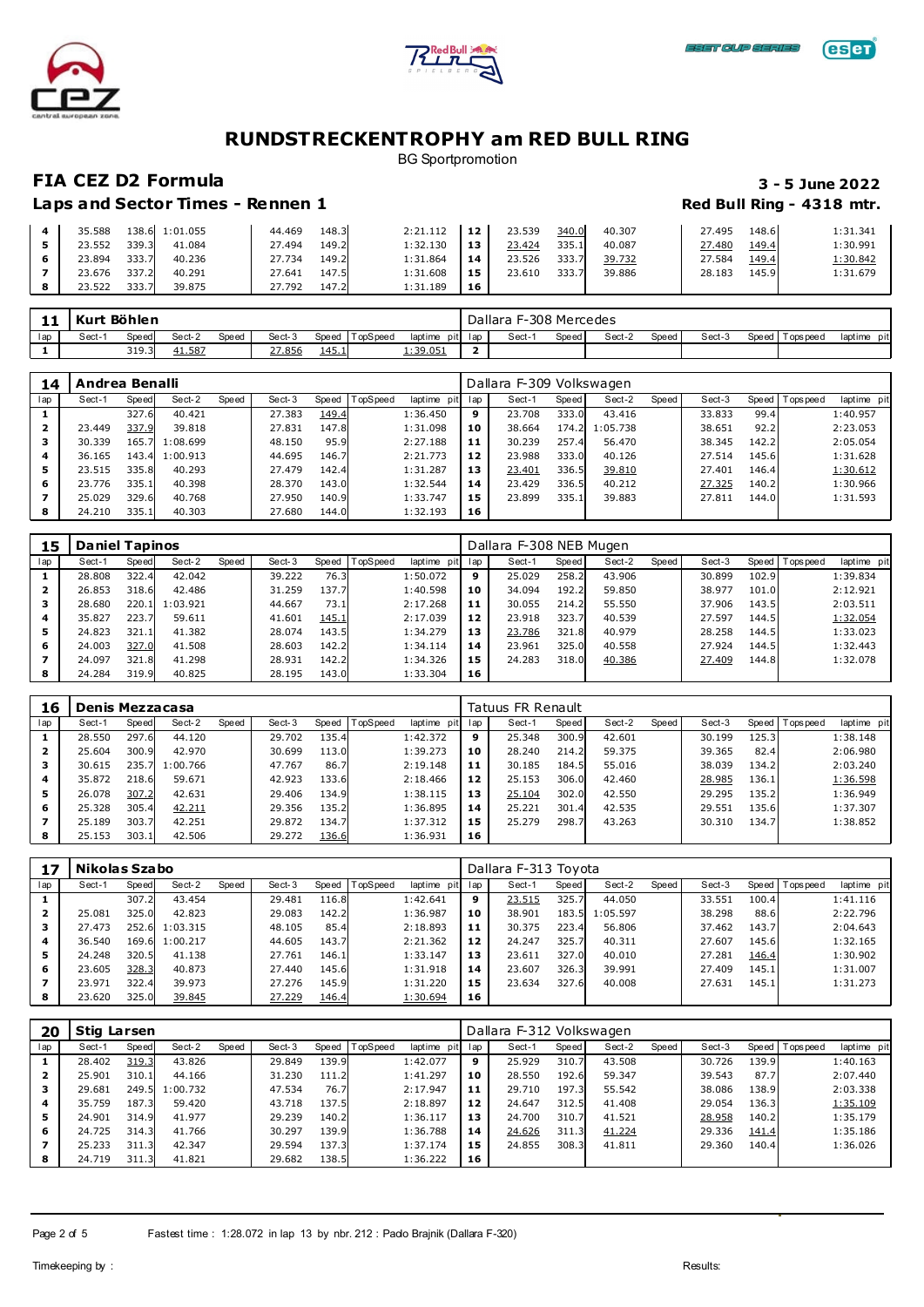





BG Sportpromotion

### **FIA CEZ D2 Formula 3 - 5 June 2022**

| 35.588 |       | 138.6 1:01.055 | 44.469 | 148.3 | 2:21.112 | 12 | 23.539 | 340.0 | 40.307 | 27.495 | 148.6 | 1:31.341        |
|--------|-------|----------------|--------|-------|----------|----|--------|-------|--------|--------|-------|-----------------|
| 23.552 | 339.3 | 41.084         | 27.494 | 149.2 | 1:32.130 | 13 | 23.424 | 335.1 | 40.087 | 27.480 | 149.4 | 1:30.991        |
| 23.894 | 333.7 | 40.236         | 27.734 | 149.2 | 1:31.864 | 14 | 23.526 | 333.7 | 39.732 | 27.584 | 149.4 | <u>1:30.842</u> |
| 23.676 | 337.2 | 40.291         | 27.641 | 147.5 | 1:31.608 | 15 | 23.610 | 333.7 | 39.886 | 28.183 | 145.9 | 1:31.679        |
| 23.522 | 333.7 | 39.875         | 27.792 | 147.2 | 1:31.189 | 16 |        |       |        |        |       |                 |

| . . | Kurt  | `Böhlen |               |       |        |               |         |                 |         |       | Dallara F-308 Mercedes |        |       |        |       |             |             |
|-----|-------|---------|---------------|-------|--------|---------------|---------|-----------------|---------|-------|------------------------|--------|-------|--------|-------|-------------|-------------|
| lap | Sect- | Speed   | Sect-2        | Speed | Sect-3 | Speed         | opSpeed | laptime         | pit lap | Sect- | Speed                  | Sect-2 | Speed | Sect-3 | Speed | T ops pee d | laptime pit |
|     |       | 319.3   | <u>41.587</u> |       | 27.856 | <u> 145.1</u> |         | <u>1:39.051</u> |         |       |                        |        |       |        |       |             |             |

| 14  | Andrea Benalli |       |                |       |        |       |          |                |     | Dallara F-309 Volkswagen |       |          |       |        |       |                 |             |
|-----|----------------|-------|----------------|-------|--------|-------|----------|----------------|-----|--------------------------|-------|----------|-------|--------|-------|-----------------|-------------|
| lap | Sect-1         | Speed | Sect-2         | Speed | Sect-3 | Speed | TopSpeed | laptime<br>pit | lap | Sect-1                   | Speed | Sect-2   | Speed | Sect-3 |       | Speed Tops peed | laptime pit |
|     |                | 327.6 | 40.421         |       | 27.383 | 149.4 |          | 1:36.450       | 9   | 23.708                   | 333.0 | 43.416   |       | 33.833 | 99.4  |                 | 1:40.957    |
| 2   | 23.449         | 337.9 | 39.818         |       | 27.831 | 147.8 |          | 1:31.098       | 10  | 38.664                   | 174.2 | 1:05.738 |       | 38.651 | 92.2  |                 | 2:23.053    |
|     | 30.339         |       | 165.7 1:08.699 |       | 48.150 | 95.9  |          | 2:27.188       | 11  | 30.239                   | 257.4 | 56.470   |       | 38.345 | 142.2 |                 | 2:05.054    |
| 4   | 36.165         |       | 143.4 1:00.913 |       | 44.695 | 146.7 |          | 2:21.773       | 12  | 23.988                   | 333.0 | 40.126   |       | 27.514 | 145.6 |                 | 1:31.628    |
| 5   | 23.515         | 335.8 | 40.293         |       | 27.479 | 142.4 |          | 1:31.287       | 13  | 23.401                   | 336.5 | 39.810   |       | 27.401 | 146.4 |                 | 1:30.612    |
| 6   | 23.776         | 335.1 | 40.398         |       | 28.370 | 143.0 |          | 1:32.544       | 14  | 23.429                   | 336.5 | 40.212   |       | 27.325 | 140.2 |                 | 1:30.966    |
|     | 25.029         | 329.6 | 40.768         |       | 27.950 | 140.9 |          | 1:33.747       | 15  | 23.899                   | 335.1 | 39.883   |       | 27.811 | 144.0 |                 | 1:31.593    |
| 8   | 24.210         | 335.1 | 40.303         |       | 27.680 | 144.0 |          | 1:32.193       | 16  |                          |       |          |       |        |       |                 |             |

| 15  | <b>Daniel Tapinos</b> |       |          |       |        |              |                 |             |     | Dallara F-308 NEB Mugen |       |        |       |        |       |                 |             |
|-----|-----------------------|-------|----------|-------|--------|--------------|-----------------|-------------|-----|-------------------------|-------|--------|-------|--------|-------|-----------------|-------------|
| lap | Sect-1                | Speed | Sect-2   | Speed | Sect-3 | Speed        | <b>TopSpeed</b> | laptime pit | lap | Sect-1                  | Speed | Sect-2 | Speed | Sect-3 |       | Speed Tops peed | laptime pit |
|     | 28.808                | 322.4 | 42.042   |       | 39.222 | 76.3         |                 | 1:50.072    | 9   | 25.029                  | 258.2 | 43.906 |       | 30.899 | 102.9 |                 | 1:39.834    |
| 2   | 26.853                | 318.6 | 42.486   |       | 31.259 | 137.7        |                 | 1:40.598    | 10  | 34.094                  | 192.2 | 59.850 |       | 38.977 | 101.0 |                 | 2:12.921    |
|     | 28.680                | 220.1 | 1:03.921 |       | 44.667 | 73.1         |                 | 2:17.268    | 11  | 30.055                  | 214.2 | 55.550 |       | 37.906 | 143.5 |                 | 2:03.511    |
| 4   | 35.827                | 223.7 | 59.611   |       | 41.601 | <u>145.1</u> |                 | 2:17.039    | 12  | 23.918                  | 323.7 | 40.539 |       | 27.597 | 144.5 |                 | 1:32.054    |
| 5   | 24.823                | 321.1 | 41.382   |       | 28.074 | 143.5        |                 | 1:34.279    | 13  | 23.786                  | 321.8 | 40.979 |       | 28.258 | 144.5 |                 | 1:33.023    |
| 6   | 24.003                | 327.0 | 41.508   |       | 28.603 | 142.2        |                 | 1:34.114    | 14  | 23.961                  | 325.0 | 40.558 |       | 27.924 | 144.5 |                 | 1:32.443    |
|     | 24.097                | 321.8 | 41.298   |       | 28.931 | 142.2        |                 | 1:34.326    | 15  | 24.283                  | 318.0 | 40.386 |       | 27.409 | 144.8 |                 | 1:32.078    |
|     | 24.284                | 319.9 | 40.825   |       | 28.195 | 143.0        |                 | 1:33.304    | 16  |                         |       |        |       |        |       |                 |             |

| 16  | Denis Mezzacasa |       |          |       |        |       |          |                |     | Tatuus FR Renault |       |        |       |        |       |                   |             |
|-----|-----------------|-------|----------|-------|--------|-------|----------|----------------|-----|-------------------|-------|--------|-------|--------|-------|-------------------|-------------|
| lap | Sect-1          | Speed | Sect-2   | Speed | Sect-3 | Speed | TopSpeed | laptime<br>pit | lap | Sect-1            | Speed | Sect-2 | Speed | Sect-3 |       | Speed   Tops peed | laptime pit |
|     | 28.550          | 297.6 | 44.120   |       | 29.702 | 135.4 |          | 1:42.372       | 9   | 25.348            | 300.9 | 42.601 |       | 30.199 | 125.3 |                   | 1:38.148    |
| 2   | 25.604          | 300.9 | 42.970   |       | 30.699 | 113.0 |          | 1:39.273       | 10  | 28.240            | 214.2 | 59.375 |       | 39.365 | 82.4  |                   | 2:06.980    |
| з   | 30.615          | 235.7 | 1:00.766 |       | 47.767 | 86.7  |          | 2:19.148       | 11  | 30.185            | 184.5 | 55.016 |       | 38.039 | 134.2 |                   | 2:03.240    |
| 4   | 35.872          | 218.6 | 59.671   |       | 42.923 | 133.6 |          | 2:18.466       | 12  | 25.153            | 306.0 | 42.460 |       | 28.985 | 136.1 |                   | 1:36.598    |
| 5   | 26.078          | 307.2 | 42.631   |       | 29,406 | 134.9 |          | 1:38.115       | 13  | 25.104            | 302.0 | 42.550 |       | 29.295 | 135.2 |                   | 1:36.949    |
| 6   | 25.328          | 305.4 | 42.211   |       | 29.356 | 135.2 |          | 1:36.895       | 14  | 25.221            | 301.4 | 42.535 |       | 29.551 | 135.6 |                   | 1:37.307    |
|     | 25.189          | 303.7 | 42.251   |       | 29.872 | 134.7 |          | 1:37.312       | 15  | 25.279            | 298.7 | 43.263 |       | 30.310 | 134.7 |                   | 1:38.852    |
| 8   | 25.153          | 303.1 | 42.506   |       | 29.272 | 136.6 |          | 1:36.931       | 16  |                   |       |        |       |        |       |                   |             |

| 17  | Nikolas Szabo |       |                |       |        |       |                  |             |     | Dallara F-313 Toyota |       |          |       |        |       |                 |             |
|-----|---------------|-------|----------------|-------|--------|-------|------------------|-------------|-----|----------------------|-------|----------|-------|--------|-------|-----------------|-------------|
| lap | Sect-1        | Speed | Sect-2         | Speed | Sect-3 |       | Speed   TopSpeed | laptime pit | lap | Sect-1               | Speed | Sect-2   | Speed | Sect-3 |       | Speed Tops peed | laptime pit |
|     |               | 307.2 | 43.454         |       | 29.481 | 116.8 |                  | 1:42.641    | 9   | 23.515               | 325.7 | 44.050   |       | 33.551 | 100.4 |                 | 1:41.116    |
| 2   | 25.081        | 325.0 | 42.823         |       | 29.083 | 142.2 |                  | 1:36.987    | 10  | 38.901               | 183.5 | 1:05.597 |       | 38.298 | 88.6  |                 | 2:22.796    |
|     | 27.473        |       | 252.6 1:03.315 |       | 48.105 | 85.4  |                  | 2:18.893    | 11  | 30.375               | 223.4 | 56.806   |       | 37.462 | 143.7 |                 | 2:04.643    |
| 4   | 36.540        | 169.6 | 1:00.217       |       | 44.605 | 143.7 |                  | 2:21.362    | 12  | 24.247               | 325.7 | 40.311   |       | 27.607 | 145.6 |                 | 1:32.165    |
| 5   | 24.248        | 320.5 | 41.138         |       | 27.761 | 146.1 |                  | 1:33.147    | 13  | 23.611               | 327.0 | 40.010   |       | 27.281 | 146.4 |                 | 1:30.902    |
| 6   | 23.605        | 328.3 | 40.873         |       | 27.440 | 145.6 |                  | 1:31.918    | 14  | 23.607               | 326.3 | 39.991   |       | 27.409 | 145.1 |                 | 1:31.007    |
|     | 23.971        | 322.4 | 39.973         |       | 27.276 | 145.9 |                  | 1:31.220    | 15  | 23.634               | 327.6 | 40.008   |       | 27.631 | 145.1 |                 | 1:31.273    |
| 8   | 23.620        | 325.0 | 39.845         |       | 27.229 | 146.4 |                  | 1:30.694    | 16  |                      |       |          |       |        |       |                 |             |

| 20  | Stig Larsen |       |          |       |        |       |          |             |     | Dallara F-312 Volkswagen |       |        |       |        |       |                 |             |
|-----|-------------|-------|----------|-------|--------|-------|----------|-------------|-----|--------------------------|-------|--------|-------|--------|-------|-----------------|-------------|
| lap | Sect-1      | Speed | Sect-2   | Speed | Sect-3 | Speed | TopSpeed | laptime pit | lap | Sect-1                   | Speed | Sect-2 | Speed | Sect-3 |       | Speed Tops peed | laptime pit |
|     | 28.402      | 319.3 | 43.826   |       | 29.849 | 139.9 |          | 1:42.077    | 9   | 25.929                   | 310.7 | 43.508 |       | 30.726 | 139.9 |                 | 1:40.163    |
| 2   | 25.901      | 310.1 | 44.166   |       | 31.230 | 111.2 |          | 1:41.297    | 10  | 28.550                   | 192.6 | 59.347 |       | 39.543 | 87.7  |                 | 2:07.440    |
| з   | 29.681      | 249.5 | 1:00.732 |       | 47.534 | 76.7  |          | 2:17.947    | 11  | 29.710                   | 197.3 | 55.542 |       | 38.086 | 138.9 |                 | 2:03.338    |
| 4   | 35.759      | 187.3 | 59.420   |       | 43.718 | 137.5 |          | 2:18.897    | 12  | 24.647                   | 312.5 | 41.408 |       | 29.054 | 136.3 |                 | 1:35.109    |
| 5.  | 24.901      | 314.9 | 41.977   |       | 29.239 | 140.2 |          | 1:36.117    | 13  | 24.700                   | 310.7 | 41.521 |       | 28.958 | 140.2 |                 | 1:35.179    |
| 6   | 24.725      | 314.3 | 41.766   |       | 30.297 | 139.9 |          | 1:36.788    | 14  | 24.626                   | 311.3 | 41.224 |       | 29.336 | 141.4 |                 | 1:35.186    |
|     | 25.233      | 311.3 | 42.347   |       | 29.594 | 137.3 |          | 1:37.174    | 15  | 24.855                   | 308.3 | 41.811 |       | 29.360 | 140.4 |                 | 1:36.026    |
| 8   | 24.719      | 311.3 | 41.821   |       | 29.682 | 138.5 |          | 1:36.222    | 16  |                          |       |        |       |        |       |                 |             |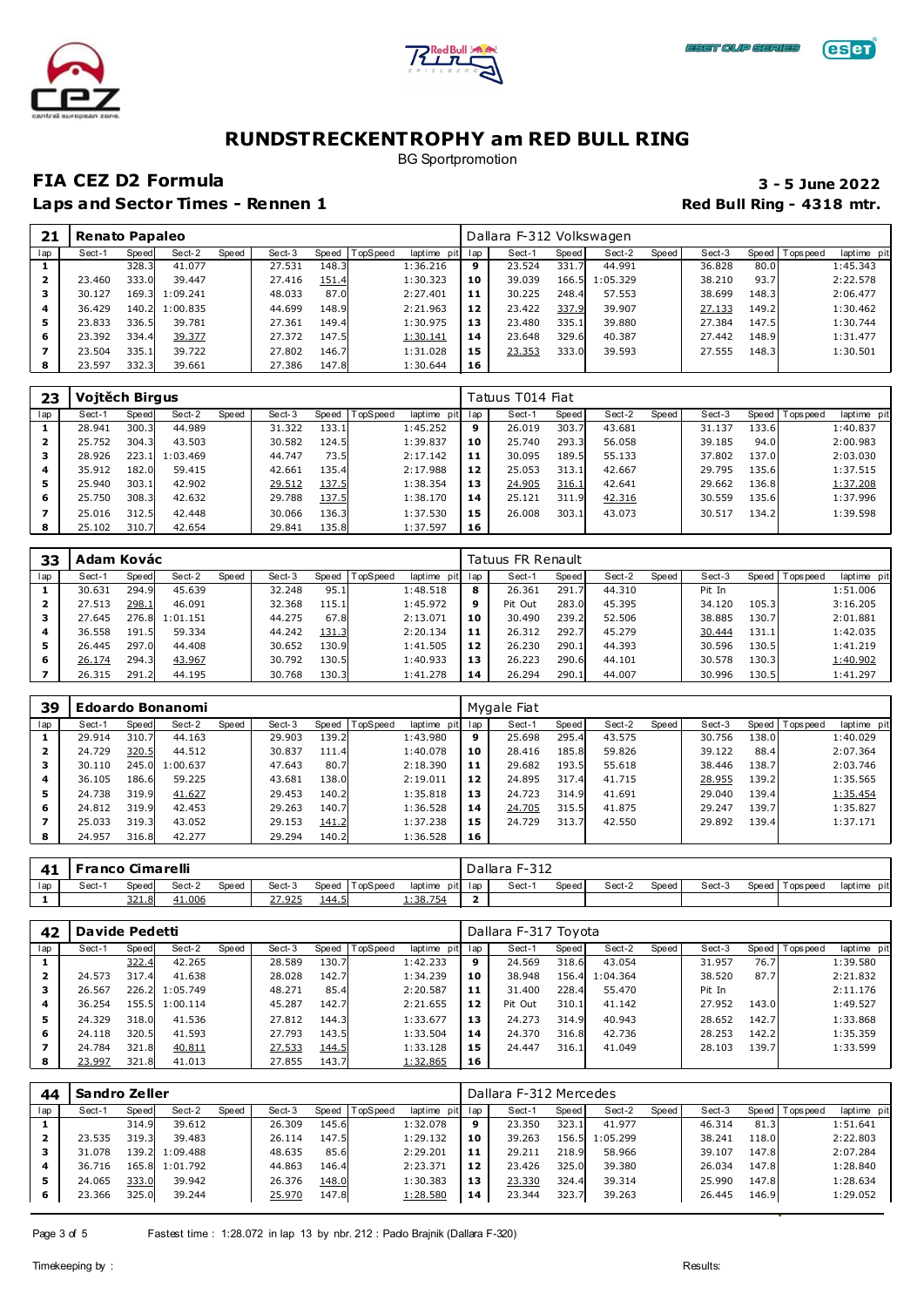





BG Sportpromotion

### **FIA CEZ D2 Formula 3 - 5 June 2022**

| 21  | Renato Papaleo |       |                |       |        |       |                |             |     | Dallara F-312 Volkswagen |       |          |         |        |       |                 |             |
|-----|----------------|-------|----------------|-------|--------|-------|----------------|-------------|-----|--------------------------|-------|----------|---------|--------|-------|-----------------|-------------|
| lap | Sect-1         | Speed | Sect-2         | Speed | Sect-3 |       | Speed TopSpeed | laptime pit | lap | Sect-1                   | Speed | Sect-2   | Speed ' | Sect-3 |       | Speed Tops peed | laptime pit |
|     |                | 328.3 | 41.077         |       | 27.531 | 148.3 |                | 1:36.216    | 9   | 23.524                   | 331.7 | 44.991   |         | 36.828 | 80.0  |                 | 1:45.343    |
| 2   | 23,460         | 333.0 | 39.447         |       | 27.416 | 151.4 |                | 1:30.323    | 10  | 39.039                   | 166.5 | 1:05.329 |         | 38.210 | 93.7  |                 | 2:22.578    |
| з   | 30.127         |       | 169.3 1:09.241 |       | 48.033 | 87.0  |                | 2:27.401    | 11  | 30.225                   | 248.4 | 57.553   |         | 38.699 | 148.3 |                 | 2:06.477    |
| 4   | 36.429         |       | 140.2 1:00.835 |       | 44.699 | 148.9 |                | 2:21.963    | 12  | 23.422                   | 337.9 | 39.907   |         | 27.133 | 149.2 |                 | 1:30.462    |
| 5   | 23.833         | 336.5 | 39.781         |       | 27.361 | 149.4 |                | 1:30.975    | 13  | 23.480                   | 335.1 | 39.880   |         | 27.384 | 147.5 |                 | 1:30.744    |
| 6   | 23.392         | 334.4 | 39.377         |       | 27.372 | 147.5 |                | 1:30.141    | 14  | 23.648                   | 329.6 | 40.387   |         | 27.442 | 148.9 |                 | 1:31.477    |
|     | 23.504         | 335.1 | 39.722         |       | 27.802 | 146.7 |                | 1:31.028    | 15  | 23.353                   | 333.0 | 39.593   |         | 27.555 | 148.3 |                 | 1:30.501    |
| 8   | 23.597         | 332.3 | 39.661         |       | 27.386 | 147.8 |                | 1:30.644    | 16  |                          |       |          |         |        |       |                 |             |

| 23  | Vojtěch Birgus |              |                |       |        |       |                 |                |     | Tatuus T014 Fiat |       |        |       |        |       |                 |             |
|-----|----------------|--------------|----------------|-------|--------|-------|-----------------|----------------|-----|------------------|-------|--------|-------|--------|-------|-----------------|-------------|
| lap | Sect-1         | <b>Speed</b> | Sect-2         | Speed | Sect-3 | Speed | <b>TopSpeed</b> | laptime<br>pit | lap | Sect-1           | Speed | Sect-2 | Speed | Sect-3 |       | Speed Tops peed | laptime pit |
|     | 28.941         | 300.3        | 44.989         |       | 31.322 | 133.1 |                 | 1:45.252       | 9   | 26.019           | 303.7 | 43.681 |       | 31.137 | 133.6 |                 | 1:40.837    |
| 2   | 25.752         | 304.3        | 43.503         |       | 30.582 | 124.5 |                 | 1:39.837       | 10  | 25.740           | 293.3 | 56.058 |       | 39.185 | 94.0  |                 | 2:00.983    |
| з   | 28.926         |              | 223.1 1:03.469 |       | 44.747 | 73.5  |                 | 2:17.142       | 11  | 30.095           | 189.5 | 55.133 |       | 37.802 | 137.0 |                 | 2:03.030    |
| 4   | 35.912         | 182.0        | 59.415         |       | 42.661 | 135.4 |                 | 2:17.988       | 12  | 25.053           | 313.1 | 42.667 |       | 29.795 | 135.6 |                 | 1:37.515    |
| 5   | 25.940         | 303.1        | 42.902         |       | 29.512 | 137.5 |                 | 1:38.354       | 13  | 24.905           | 316.1 | 42.641 |       | 29.662 | 136.8 |                 | 1:37.208    |
| 6   | 25.750         | 308.3        | 42.632         |       | 29.788 | 137.5 |                 | 1:38.170       | 14  | 25.121           | 311.9 | 42.316 |       | 30.559 | 135.6 |                 | 1:37.996    |
|     | 25.016         | 312.5        | 42.448         |       | 30.066 | 136.3 |                 | 1:37.530       | 15  | 26.008           | 303.1 | 43.073 |       | 30.517 | 134.2 |                 | 1:39.598    |
| 8   | 25.102         | 310.7        | 42.654         |       | 29.841 | 135.8 |                 | 1:37.597       | 16  |                  |       |        |       |        |       |                 |             |

| 33  | Adam Kovác |       |          |       |        |       |          |             |     | Tatuus FR Renault |       |        |       |        |       |           |             |
|-----|------------|-------|----------|-------|--------|-------|----------|-------------|-----|-------------------|-------|--------|-------|--------|-------|-----------|-------------|
| lap | Sect-      | Speed | Sect-2   | Speed | Sect-3 | Speed | TopSpeed | laptime pit | lap | Sect-1            | Speed | Sect-2 | Speed | Sect-3 | Speed | Tops peed | laptime pit |
|     | 30.631     | 294.9 | 45.639   |       | 32.248 | 95.1  |          | 1:48.518    | 8   | 26.361            | 291.7 | 44.310 |       | Pit In |       |           | 1:51.006    |
| 2   | 27.513     | 298.1 | 46.091   |       | 32.368 | 115.1 |          | 1:45.972    | 9   | Pit Out           | 283.0 | 45.395 |       | 34.120 | 105.3 |           | 3:16.205    |
|     | 27.645     | 276.8 | 1:01.151 |       | 44.275 | 67.8  |          | 2:13.071    | 10  | 30.490            | 239.2 | 52.506 |       | 38.885 | 130.7 |           | 2:01.881    |
| 4   | 36.558     | 191.5 | 59.334   |       | 44.242 | 131.3 |          | 2:20.134    | 11  | 26.312            | 292.7 | 45.279 |       | 30.444 | 131.1 |           | 1:42.035    |
| 5   | 26.445     | 297.0 | 44.408   |       | 30.652 | 130.9 |          | 1:41.505    | 12  | 26.230            | 290.1 | 44.393 |       | 30.596 | 130.5 |           | 1:41.219    |
| 6   | 26.174     | 294.3 | 43.967   |       | 30.792 | 130.5 |          | 1:40.933    | 13  | 26.223            | 290.6 | 44.101 |       | 30.578 | 130.3 |           | 1:40.902    |
|     | 26.315     | 291.2 | 44.195   |       | 30.768 | 130.3 |          | 1:41.278    | 14  | 26.294            | 290.1 | 44.007 |       | 30.996 | 130.5 |           | 1:41.297    |

| 39  |        |       | <b>Edoardo Bonanomi</b> |       |        |       |                |             |     | Mygale Fiat |       |        |         |        |       |                 |             |
|-----|--------|-------|-------------------------|-------|--------|-------|----------------|-------------|-----|-------------|-------|--------|---------|--------|-------|-----------------|-------------|
| lap | Sect-1 | Speed | Sect-2                  | Speed | Sect-3 |       | Speed TopSpeed | laptime pit | lap | Sect-1      | Speed | Sect-2 | Speed ' | Sect-3 |       | Speed Tops peed | laptime pit |
|     | 29.914 | 310.7 | 44.163                  |       | 29.903 | 139.2 |                | 1:43.980    | 9   | 25.698      | 295.4 | 43.575 |         | 30.756 | 138.0 |                 | 1:40.029    |
|     | 24.729 | 320.5 | 44.512                  |       | 30.837 | 111.4 |                | 1:40.078    | 10  | 28.416      | 185.8 | 59.826 |         | 39.122 | 88.4  |                 | 2:07.364    |
|     | 30.110 | 245.0 | 1:00.637                |       | 47.643 | 80.7  |                | 2:18.390    | 11  | 29.682      | 193.5 | 55.618 |         | 38.446 | 138.7 |                 | 2:03.746    |
| 4   | 36.105 | 186.6 | 59.225                  |       | 43.681 | 138.0 |                | 2:19.011    | 12  | 24.895      | 317.4 | 41.715 |         | 28.955 | 139.2 |                 | 1:35.565    |
| 5   | 24.738 | 319.9 | 41.627                  |       | 29.453 | 140.2 |                | 1:35.818    | 13  | 24.723      | 314.9 | 41.691 |         | 29.040 | 139.4 |                 | 1:35.454    |
| 6   | 24.812 | 319.9 | 42.453                  |       | 29.263 | 140.7 |                | 1:36.528    | 14  | 24.705      | 315.5 | 41.875 |         | 29.247 | 139.7 |                 | 1:35.827    |
|     | 25.033 | 319.3 | 43.052                  |       | 29.153 | 141.2 |                | 1:37.238    | 15  | 24.729      | 313.7 | 42.550 |         | 29.892 | 139.4 |                 | 1:37.171    |
| 8   | 24.957 | 316.8 | 42.277                  |       | 29.294 | 140.2 |                | 1:36.528    | 16  |             |       |        |         |        |       |                 |             |

|     | <b>Franco Cimarelli</b> |                     |        |              |        |              |          |                  | Dallara F-312 |       |        |       |        |                   |             |
|-----|-------------------------|---------------------|--------|--------------|--------|--------------|----------|------------------|---------------|-------|--------|-------|--------|-------------------|-------------|
| lap | Sect-′                  | Speedl              | Sect-2 | <b>Speed</b> | Sect-3 | Speed        | TopSpeed | laptime pit lap  | Sect-1        | Speed | Sect-2 | Speed | Sect-3 | Speed   Tops peed | laptime pit |
|     |                         | 221<br><u>321.0</u> | 41.006 |              | 27.925 | <u>144.5</u> |          | <u> 1:38.754</u> |               |       |        |       |        |                   |             |

| 42  | Davide Pedetti |       |                |       |        |       |                  |             |     | Dallara F-317 Toyota |       |          |         |        |       |                |             |
|-----|----------------|-------|----------------|-------|--------|-------|------------------|-------------|-----|----------------------|-------|----------|---------|--------|-------|----------------|-------------|
| lap | Sect-1         | Speed | Sect-2         | Speed | Sect-3 |       | Speed   TopSpeed | laptime pit | lap | Sect-1               | Speed | Sect-2   | Speed ' | Sect-3 |       | Speed Topspeed | laptime pit |
|     |                | 322.4 | 42.265         |       | 28.589 | 130.7 |                  | 1:42.233    | 9   | 24.569               | 318.6 | 43.054   |         | 31.957 | 76.7  |                | 1:39.580    |
| 2   | 24.573         | 317.4 | 41.638         |       | 28.028 | 142.7 |                  | 1:34.239    | 10  | 38.948               | 156.4 | 1:04.364 |         | 38.520 | 87.7  |                | 2:21.832    |
| з   | 26.567         |       | 226.2 1:05.749 |       | 48.271 | 85.4  |                  | 2:20.587    | 11  | 31,400               | 228.4 | 55.470   |         | Pit In |       |                | 2:11.176    |
| 4   | 36.254         |       | 155.5 1:00.114 |       | 45.287 | 142.7 |                  | 2:21.655    | 12  | Pit Out              | 310.1 | 41.142   |         | 27.952 | 143.0 |                | 1:49.527    |
| 5   | 24.329         | 318.0 | 41.536         |       | 27.812 | 144.3 |                  | 1:33.677    | 13  | 24.273               | 314.9 | 40.943   |         | 28.652 | 142.7 |                | 1:33.868    |
| 6   | 24.118         | 320.5 | 41.593         |       | 27.793 | 143.5 |                  | 1:33.504    | 14  | 24.370               | 316.8 | 42.736   |         | 28.253 | 142.2 |                | 1:35.359    |
|     | 24.784         | 321.8 | 40.811         |       | 27.533 | 144.5 |                  | 1:33.128    | 15  | 24.447               | 316.1 | 41.049   |         | 28.103 | 139.7 |                | 1:33.599    |
| 8   | 23.997         | 321.8 | 41.013         |       | 27.855 | 143.7 |                  | 1:32.865    | 16  |                      |       |          |         |        |       |                |             |

| 44  | Sandro Zeller |       |          |       |        |           |          |                 |    | Dallara F-312 Mercedes |       |          |       |        |       |                 |             |
|-----|---------------|-------|----------|-------|--------|-----------|----------|-----------------|----|------------------------|-------|----------|-------|--------|-------|-----------------|-------------|
| lap | Sect-1        | Speed | Sect-2   | Speed | Sect-3 | Speed   T | TopSpeed | laptime pit lap |    | Sect-1                 | Speed | Sect-2   | Speed | Sect-3 |       | Speed Tops peed | laptime pit |
|     |               | 314.9 | 39.612   |       | 26.309 | 145.6     |          | 1:32.078        | 9  | 23.350                 | 323.1 | 41.977   |       | 46.314 | 81.3  |                 | 1:51.641    |
| 2   | 23.535        | 319.3 | 39.483   |       | 26.114 | 147.5     |          | 1:29.132        | 10 | 39.263                 | 156.5 | 1:05.299 |       | 38.241 | 118.0 |                 | 2:22.803    |
|     | 31.078        | 139.2 | 1:09.488 |       | 48.635 | 85.6      |          | 2:29.201        | 11 | 29.211                 | 218.9 | 58.966   |       | 39.107 | 147.8 |                 | 2:07.284    |
| 4   | 36.716        | 165.8 | 1:01.792 |       | 44.863 | 146.4     |          | 2:23.371        | 12 | 23.426                 | 325.0 | 39.380   |       | 26.034 | 147.8 |                 | 1:28.840    |
| 5   | 24.065        | 333.0 | 39.942   |       | 26.376 | 148.0     |          | 1:30.383        | 13 | 23.330                 | 324.4 | 39.314   |       | 25.990 | 147.8 |                 | 1:28.634    |
| 6   | 23.366        | 325.0 | 39.244   |       | 25.970 | 147.8     |          | 1:28.580        | 14 | 23.344                 | 323.7 | 39.263   |       | 26.445 | 146.9 |                 | 1:29.052    |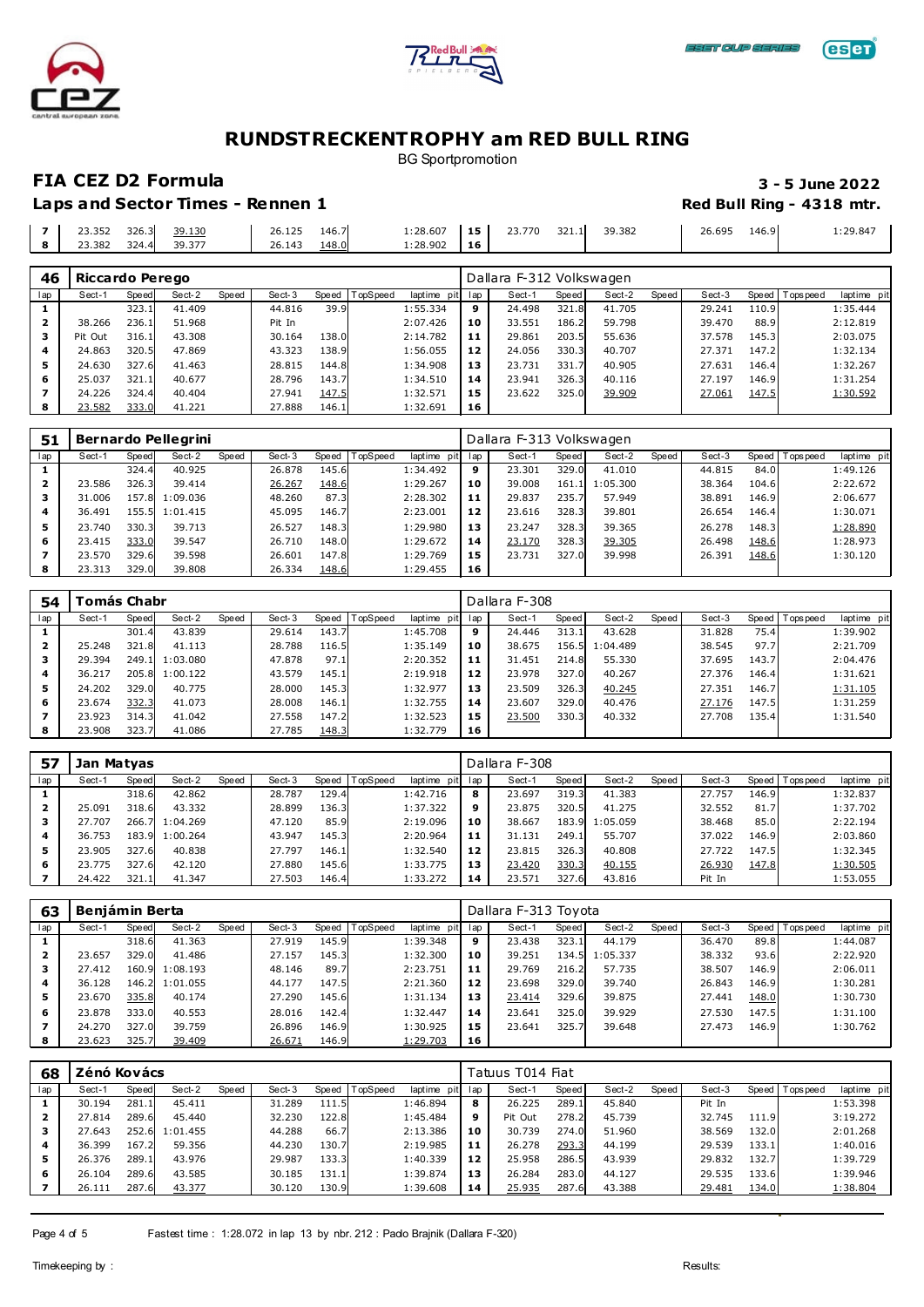





BG Sportpromotion

**FIA CEZ D2 Formula 3 - 5 June 2022 Laps and Sector Times - Rennen 1 Red Bull Ring - 4318 mtr. Red Bull Ring - 4318 mtr.** 

|   | 23.352 | 326.3 | 39.130                        | 26.125 | 146.7 | 1:28.607 | 15<br><br>the contract of the con- | ר ה<br>$\neg\neg$<br>771<br>، ، ، د | 321.1 | 39.382 | 26.695 | 146.9 | 1:29.847 |
|---|--------|-------|-------------------------------|--------|-------|----------|------------------------------------|-------------------------------------|-------|--------|--------|-------|----------|
| ۰ | 23.382 | 324.  | 20.27<br>- -<br><b>JY.J</b> / | 26.143 | 148.0 | 1:28.902 | 16                                 |                                     |       |        |        |       |          |

| 46  | Riccardo Perego |       |        |       |        |       |          |          |         | Dallara F-312 Volkswagen |       |        |       |        |       |                 |             |
|-----|-----------------|-------|--------|-------|--------|-------|----------|----------|---------|--------------------------|-------|--------|-------|--------|-------|-----------------|-------------|
| lap | Sect-1          | Speed | Sect-2 | Speed | Sect-3 | Speed | TopSpeed | laptime  | pit lap | Sect-1                   | Speed | Sect-2 | Speed | Sect-3 |       | Speed Tops peed | laptime pit |
|     |                 | 323.1 | 41.409 |       | 44.816 | 39.9  |          | 1:55.334 | 9       | 24.498                   | 321.8 | 41.705 |       | 29.241 | 110.9 |                 | 1:35.444    |
| 2   | 38.266          | 236.1 | 51.968 |       | Pit In |       |          | 2:07.426 | 10      | 33.551                   | 186.2 | 59.798 |       | 39.470 | 88.9  |                 | 2:12.819    |
|     | Pit Out         | 316.1 | 43.308 |       | 30.164 | 138.0 |          | 2:14.782 | 11      | 29.861                   | 203.5 | 55.636 |       | 37.578 | 145.3 |                 | 2:03.075    |
| 4   | 24.863          | 320.5 | 47.869 |       | 43.323 | 138.9 |          | 1:56.055 | 12      | 24.056                   | 330.3 | 40.707 |       | 27.371 | 147.2 |                 | 1:32.134    |
| 5   | 24.630          | 327.6 | 41.463 |       | 28.815 | 144.8 |          | 1:34.908 | 13      | 23.731                   | 331.7 | 40.905 |       | 27.631 | 146.4 |                 | 1:32.267    |
| 6   | 25.037          | 321.1 | 40.677 |       | 28.796 | 143.7 |          | 1:34.510 | 14      | 23.941                   | 326.3 | 40.116 |       | 27.197 | 146.9 |                 | 1:31.254    |
|     | 24.226          | 324.4 | 40.404 |       | 27.941 | 147.5 |          | 1:32.571 | 15      | 23.622                   | 325.0 | 39.909 |       | 27.061 | 147.5 |                 | 1:30.592    |
|     | 23.582          | 333.0 | 41.221 |       | 27.888 | 146.1 |          | 1:32.691 | 16      |                          |       |        |       |        |       |                 |             |

| 51  |        |       | Bernardo Pellegrini |       |        |       |          |             |     | Dallara F-313 Volkswagen |       |          |         |        |       |                 |             |
|-----|--------|-------|---------------------|-------|--------|-------|----------|-------------|-----|--------------------------|-------|----------|---------|--------|-------|-----------------|-------------|
| lap | Sect-1 | Speed | Sect-2              | Speed | Sect-3 | Speed | TopSpeed | laptime pit | lap | Sect-1                   | Speed | Sect-2   | Speed I | Sect-3 |       | Speed Tops peed | laptime pit |
|     |        | 324.4 | 40.925              |       | 26.878 | 145.6 |          | 1:34.492    | 9   | 23.301                   | 329.0 | 41.010   |         | 44.815 | 84.0  |                 | 1:49.126    |
| 2   | 23.586 | 326.3 | 39.414              |       | 26.267 | 148.6 |          | 1:29.267    | 10  | 39.008                   | 161.1 | 1:05.300 |         | 38.364 | 104.6 |                 | 2:22.672    |
|     | 31.006 |       | 157.8 1:09.036      |       | 48.260 | 87.3  |          | 2:28.302    | 11  | 29.837                   | 235.7 | 57.949   |         | 38.891 | 146.9 |                 | 2:06.677    |
| 4   | 36.491 |       | 155.5 1:01.415      |       | 45.095 | 146.7 |          | 2:23.001    | 12  | 23.616                   | 328.3 | 39.801   |         | 26.654 | 146.4 |                 | 1:30.071    |
| 5   | 23.740 | 330.3 | 39.713              |       | 26.527 | 148.3 |          | 1:29.980    | 13  | 23.247                   | 328.3 | 39.365   |         | 26.278 | 148.3 |                 | 1:28.890    |
| 6   | 23.415 | 333.0 | 39.547              |       | 26.710 | 148.0 |          | 1:29.672    | 14  | 23.170                   | 328.3 | 39.305   |         | 26.498 | 148.6 |                 | 1:28.973    |
|     | 23.570 | 329.6 | 39.598              |       | 26.601 | 147.8 |          | 1:29.769    | 15  | 23.731                   | 327.0 | 39.998   |         | 26.391 | 148.6 |                 | 1:30.120    |
| 8   | 23.313 | 329.0 | 39.808              |       | 26.334 | 148.6 |          | 1:29.455    | 16  |                          |       |          |         |        |       |                 |             |

| 54  |        | 'omás Chabr |                |       |        |       |                |             |     | Dallara F-308 |       |          |       |        |       |                 |             |
|-----|--------|-------------|----------------|-------|--------|-------|----------------|-------------|-----|---------------|-------|----------|-------|--------|-------|-----------------|-------------|
| lap | Sect-1 | Speed       | Sect-2         | Speed | Sect-3 |       | Speed TopSpeed | laptime pit | lap | Sect-1        | Speed | Sect-2   | Speed | Sect-3 |       | Speed Tops peed | laptime pit |
|     |        | 301.4       | 43.839         |       | 29.614 | 143.7 |                | 1:45.708    | 9   | 24.446        | 313.1 | 43.628   |       | 31.828 | 75.4  |                 | 1:39.902    |
| 2   | 25.248 | 321.8       | 41.113         |       | 28.788 | 116.5 |                | 1:35.149    | 10  | 38.675        | 156.5 | 1:04.489 |       | 38.545 | 97.7  |                 | 2:21.709    |
| з   | 29.394 |             | 249.1 1:03.080 |       | 47.878 | 97.1  |                | 2:20.352    | 11  | 31.451        | 214.8 | 55.330   |       | 37.695 | 143.7 |                 | 2:04.476    |
| 4   | 36.217 | 205.8       | 1:00.122       |       | 43.579 | 145.1 |                | 2:19.918    | 12  | 23.978        | 327.0 | 40.267   |       | 27.376 | 146.4 |                 | 1:31.621    |
| 5   | 24.202 | 329.0       | 40.775         |       | 28,000 | 145.3 |                | 1:32.977    | 13  | 23.509        | 326.3 | 40.245   |       | 27.351 | 146.7 |                 | 1:31.105    |
| 6   | 23.674 | 332.3       | 41.073         |       | 28,008 | 146.1 |                | 1:32.755    | 14  | 23.607        | 329.0 | 40.476   |       | 27.176 | 147.5 |                 | 1:31.259    |
|     | 23.923 | 314.3       | 41.042         |       | 27.558 | 147.2 |                | 1:32.523    | 15  | 23.500        | 330.3 | 40.332   |       | 27.708 | 135.4 |                 | 1:31.540    |
| 8   | 23.908 | 323.7       | 41.086         |       | 27.785 | 148.3 |                | 1:32.779    | 16  |               |       |          |       |        |       |                 |             |

| 57                      | Jan Matvas |       |                |       |        |       |          |          |         | Dallara F-308 |       |                |       |        |       |                 |             |
|-------------------------|------------|-------|----------------|-------|--------|-------|----------|----------|---------|---------------|-------|----------------|-------|--------|-------|-----------------|-------------|
| lap                     | Sect-1     | Speed | Sect-2         | Speed | Sect-3 | Speed | TopSpeed | laptime  | pit lap | Sect-1        | Speed | Sect-2         | Speed | Sect-3 |       | Speed Tops peed | laptime pit |
|                         |            | 318.6 | 42.862         |       | 28.787 | 129.4 |          | 1:42.716 | 8       | 23.697        | 319.3 | 41.383         |       | 27.757 | 146.9 |                 | 1:32.837    |
| $\overline{\mathbf{z}}$ | 25.091     | 318.6 | 43.332         |       | 28.899 | 136.3 |          | 1:37.322 | 9       | 23.875        | 320.5 | 41.275         |       | 32.552 | 81.7  |                 | 1:37.702    |
| з                       | 27.707     |       | 266.7 1:04.269 |       | 47.120 | 85.9  |          | 2:19.096 | 10      | 38.667        |       | 183.9 1:05.059 |       | 38.468 | 85.0  |                 | 2:22.194    |
| 4                       | 36.753     |       | 183.9 1:00.264 |       | 43.947 | 145.3 |          | 2:20.964 | 11      | 31.131        | 249.1 | 55.707         |       | 37.022 | 146.9 |                 | 2:03.860    |
| 5                       | 23.905     | 327.6 | 40.838         |       | 27.797 | 146.1 |          | 1:32.540 | 12      | 23.815        | 326.3 | 40.808         |       | 27.722 | 147.5 |                 | 1:32.345    |
| 6                       | 23.775     | 327.6 | 42.120         |       | 27.880 | 145.6 |          | 1:33.775 | 13      | 23.420        | 330.3 | 40.155         |       | 26.930 | 147.8 |                 | 1:30.505    |
|                         | 24.422     | 321.1 | 41.347         |       | 27.503 | 146.4 |          | 1:33.272 | 14      | 23.571        | 327.6 | 43.816         |       | Pit In |       |                 | 1:53.055    |

| 63  | Beniámin Berta |       |                |       |        |       |                  |             |     | Dallara F-313 Toyota |       |          |         |        |       |                |             |
|-----|----------------|-------|----------------|-------|--------|-------|------------------|-------------|-----|----------------------|-------|----------|---------|--------|-------|----------------|-------------|
| lap | Sect-1         | Speed | Sect-2         | Speed | Sect-3 |       | Speed   TopSpeed | laptime pit | lap | Sect-1               | Speed | Sect-2   | Speed ' | Sect-3 |       | Speed Topspeed | laptime pit |
|     |                | 318.6 | 41.363         |       | 27.919 | 145.9 |                  | 1:39.348    | 9   | 23.438               | 323.1 | 44.179   |         | 36.470 | 89.8  |                | 1:44.087    |
| 2   | 23.657         | 329.0 | 41.486         |       | 27.157 | 145.3 |                  | 1:32.300    | 10  | 39.251               | 134.5 | 1:05.337 |         | 38.332 | 93.6  |                | 2:22.920    |
| з   | 27.412         |       | 160.9 1:08.193 |       | 48.146 | 89.7  |                  | 2:23.751    | 11  | 29.769               | 216.2 | 57.735   |         | 38.507 | 146.9 |                | 2:06.011    |
|     | 36.128         |       | 146.2 1:01.055 |       | 44.177 | 147.5 |                  | 2:21.360    | 12  | 23.698               | 329.0 | 39.740   |         | 26.843 | 146.9 |                | 1:30.281    |
| 5   | 23.670         | 335.8 | 40.174         |       | 27.290 | 145.6 |                  | 1:31.134    | 13  | 23.414               | 329.6 | 39.875   |         | 27.441 | 148.0 |                | 1:30.730    |
| 6   | 23.878         | 333.0 | 40.553         |       | 28.016 | 142.4 |                  | 1:32.447    | 14  | 23.641               | 325.0 | 39.929   |         | 27.530 | 147.5 |                | 1:31.100    |
|     | 24.270         | 327.0 | 39.759         |       | 26.896 | 146.9 |                  | 1:30.925    | 15  | 23.641               | 325.7 | 39.648   |         | 27.473 | 146.9 |                | 1:30.762    |
| 8   | 23.623         | 325.7 | 39.409         |       | 26.671 | 146.9 |                  | 1:29.703    | 16  |                      |       |          |         |        |       |                |             |

| 68  | Zénó Kovács |       |          |       |        |       |         |             |     | Tatuus T014 Fiat |       |        |       |        |       |                 |             |
|-----|-------------|-------|----------|-------|--------|-------|---------|-------------|-----|------------------|-------|--------|-------|--------|-------|-----------------|-------------|
| lap | Sect-1      | Speed | Sect-2   | Speed | Sect-3 | Speed | opSpeed | laptime pit | lap | Sect-1           | Speed | Sect-2 | Speed | Sect-3 |       | Speed Tops peed | laptime pit |
|     | 30.194      | 281.1 | 45.411   |       | 31.289 | 111.5 |         | 1:46.894    | 8   | 26.225           | 289.1 | 45.840 |       | Pit In |       |                 | 1:53.398    |
| 2   | 27.814      | 289.6 | 45.440   |       | 32.230 | 122.8 |         | 1:45.484    | 9   | Pit Out          | 278.2 | 45.739 |       | 32.745 | 111.9 |                 | 3:19.272    |
|     | 27.643      | 252.6 | 1:01.455 |       | 44.288 | 66.7  |         | 2:13.386    | 10  | 30.739           | 274.0 | 51.960 |       | 38.569 | 132.0 |                 | 2:01.268    |
| 4   | 36.399      | 167.2 | 59.356   |       | 44.230 | 130.7 |         | 2:19.985    | 11  | 26.278           | 293.3 | 44.199 |       | 29.539 | 133.1 |                 | 1:40.016    |
| 5   | 26.376      | 289.1 | 43.976   |       | 29.987 | 133.3 |         | 1:40.339    | 12  | 25.958           | 286.5 | 43.939 |       | 29.832 | 132.7 |                 | 1:39.729    |
| 6   | 26.104      | 289.6 | 43.585   |       | 30.185 | 131.1 |         | 1:39.874    | 13  | 26.284           | 283.0 | 44.127 |       | 29.535 | 133.6 |                 | 1:39.946    |
|     | 26.111      | 287.6 | 43.377   |       | 30.120 | 130.9 |         | 1:39.608    | 14  | 25.935           | 287.6 | 43.388 |       | 29.481 | 134.0 |                 | 1:38.804    |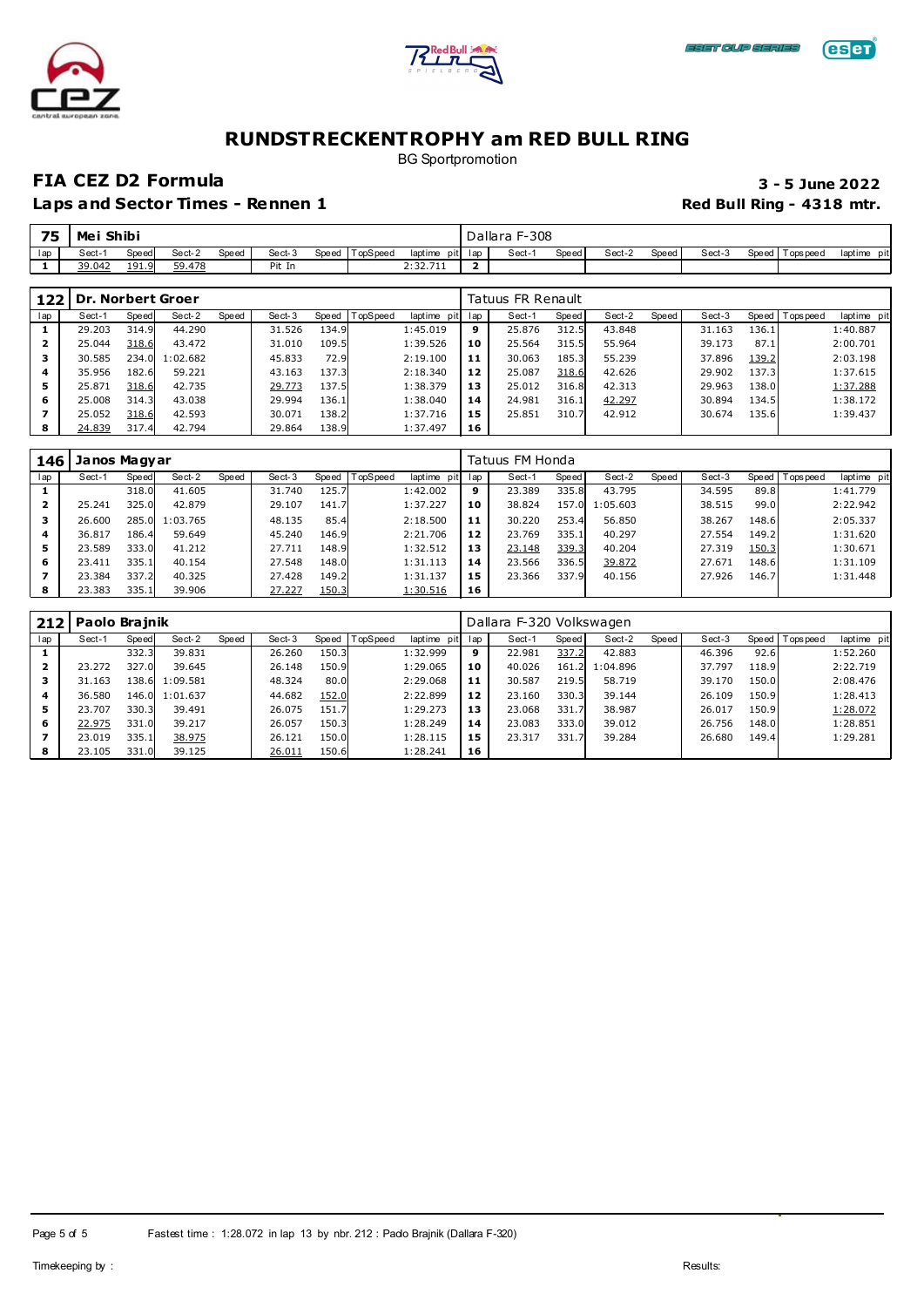



# **eser**

# **RUNDSTRECKENTROPHY am RED BULL RING**

BG Sportpromotion

### **FIA CEZ D2 Formula 3 - 5 June 2022**

| 75  | Mei    | Shibi |        |       |        |       |                      |                 | F-308 ا<br>Dallara |       |        |       |        |                 |                 |
|-----|--------|-------|--------|-------|--------|-------|----------------------|-----------------|--------------------|-------|--------|-------|--------|-----------------|-----------------|
| lap | Sect-  | Speed | Sect-2 | Speed | Sect-3 | Speed | opSpeed <sup>-</sup> | laptime pit lap | Sect-              | Speed | Sect-2 | Speed | Sect-3 | Speed Tops peed | laptime<br>pitl |
|     | 39.042 | 191.9 | 59.478 |       | Pit In |       |                      | 2:32.711        |                    |       |        |       |        |                 |                 |

| 122 |        |       | Dr. Norbert Groer |       |        |       |          |             |     | Tatuus FR Renault |       |        |       |        |       |                   |             |
|-----|--------|-------|-------------------|-------|--------|-------|----------|-------------|-----|-------------------|-------|--------|-------|--------|-------|-------------------|-------------|
| lap | Sect-1 | Speed | Sect-2            | Speed | Sect-3 | Speed | TopSpeed | laptime pit | lap | Sect-1            | Speed | Sect-2 | Speed | Sect-3 |       | Speed   Tops peed | laptime pit |
|     | 29.203 | 314.9 | 44.290            |       | 31.526 | 134.9 |          | 1:45.019    | 9   | 25.876            | 312.5 | 43.848 |       | 31.163 | 136.1 |                   | 1:40.887    |
| 2   | 25.044 | 318.6 | 43.472            |       | 31.010 | 109.5 |          | 1:39.526    | 10  | 25.564            | 315.5 | 55.964 |       | 39.173 | 87.1  |                   | 2:00.701    |
| з   | 30.585 |       | 234.0 1:02.682    |       | 45.833 | 72.9  |          | 2:19.100    | 11  | 30.063            | 185.3 | 55.239 |       | 37.896 | 139.2 |                   | 2:03.198    |
| 4   | 35.956 | 182.6 | 59.221            |       | 43.163 | 137.3 |          | 2:18.340    | 12  | 25.087            | 318.6 | 42.626 |       | 29.902 | 137.3 |                   | 1:37.615    |
| 5   | 25.871 | 318.6 | 42.735            |       | 29.773 | 137.5 |          | 1:38.379    | 13  | 25.012            | 316.8 | 42.313 |       | 29.963 | 138.0 |                   | 1:37.288    |
| 6   | 25,008 | 314.3 | 43.038            |       | 29.994 | 136.1 |          | 1:38.040    | 14  | 24.981            | 316.1 | 42.297 |       | 30.894 | 134.5 |                   | 1:38.172    |
|     | 25.052 | 318.6 | 42.593            |       | 30.071 | 138.2 |          | 1:37.716    | 15  | 25.851            | 310.7 | 42.912 |       | 30.674 | 135.6 |                   | 1:39.437    |
| 8   | 24.839 | 317.4 | 42.794            |       | 29.864 | 138.9 |          | 1:37.497    | 16  |                   |       |        |       |        |       |                   |             |

| 146 | Janos Magyar |       |          |       |        |       |         |             |     | Tatuus FM Honda |       |          |       |        |       |                 |             |
|-----|--------------|-------|----------|-------|--------|-------|---------|-------------|-----|-----------------|-------|----------|-------|--------|-------|-----------------|-------------|
| lap | Sect-1       | Speed | Sect-2   | Speed | Sect-3 | Speed | opSpeed | laptime pit | lap | Sect-1          | Speed | Sect-2   | Speed | Sect-3 |       | Speed Tops peed | laptime pit |
|     |              | 318.0 | 41.605   |       | 31.740 | 125.7 |         | 1:42.002    | 9   | 23.389          | 335.8 | 43.795   |       | 34.595 | 89.8  |                 | 1:41.779    |
| 2   | 25.241       | 325.0 | 42.879   |       | 29.107 | 141.7 |         | 1:37.227    | 10  | 38.824          | 157.0 | 1:05.603 |       | 38.515 | 99.0  |                 | 2:22.942    |
|     | 26.600       | 285.0 | 1:03.765 |       | 48.135 | 85.4  |         | 2:18.500    | 11  | 30.220          | 253.4 | 56.850   |       | 38.267 | 148.6 |                 | 2:05.337    |
| 4   | 36.817       | 186.4 | 59.649   |       | 45.240 | 146.9 |         | 2:21.706    | 12  | 23.769          | 335.1 | 40.297   |       | 27.554 | 149.2 |                 | 1:31.620    |
| 5   | 23.589       | 333.0 | 41.212   |       | 27.711 | 148.9 |         | 1:32.512    | 13  | 23.148          | 339.3 | 40.204   |       | 27.319 | 150.3 |                 | 1:30.671    |
| 6   | 23.411       | 335.1 | 40.154   |       | 27.548 | 148.0 |         | 1:31.113    | 14  | 23.566          | 336.5 | 39.872   |       | 27.671 | 148.6 |                 | 1:31.109    |
|     | 23.384       | 337.2 | 40.325   |       | 27.428 | 149.2 |         | 1:31.137    | 15  | 23.366          | 337.9 | 40.156   |       | 27.926 | 146.7 |                 | 1:31.448    |
|     | 23.383       | 335.1 | 39.906   |       | 27.227 | 150.3 |         | 1:30.516    | 16  |                 |       |          |       |        |       |                 |             |

|     | 212 Paolo Brajnik |       |                |       |        |       |                  |             | Dallara F-320 Volkswagen |        |       |          |       |        |       |                 |             |
|-----|-------------------|-------|----------------|-------|--------|-------|------------------|-------------|--------------------------|--------|-------|----------|-------|--------|-------|-----------------|-------------|
| lap | Sect-1            | Speed | Sect-2         | Speed | Sect-3 |       | Speed   TopSpeed | laptime pit | lap                      | Sect-1 | Speed | Sect-2   | Speed | Sect-3 |       | Speed Tops peed | laptime pit |
|     |                   | 332.3 | 39.831         |       | 26.260 | 150.3 |                  | 1:32.999    | 9                        | 22.981 | 337.2 | 42.883   |       | 46.396 | 92.6  |                 | 1:52.260    |
| 2   | 23.272            | 327.0 | 39.645         |       | 26.148 | 150.9 |                  | 1:29.065    | 10                       | 40.026 | 161.2 | 1:04.896 |       | 37.797 | 118.9 |                 | 2:22.719    |
| з   | 31.163            |       | 138.6 1:09.581 |       | 48.324 | 80.0  |                  | 2:29.068    | 11                       | 30.587 | 219.5 | 58.719   |       | 39.170 | 150.0 |                 | 2:08.476    |
|     | 36.580            |       | 146.0 1:01.637 |       | 44.682 | 152.0 |                  | 2:22.899    | 12                       | 23.160 | 330.3 | 39.144   |       | 26.109 | 150.9 |                 | 1:28.413    |
| 5   | 23.707            | 330.3 | 39.491         |       | 26.075 | 151.7 |                  | 1:29.273    | 13                       | 23.068 | 331.7 | 38.987   |       | 26.017 | 150.9 |                 | 1:28.072    |
| 6   | 22.975            | 331.0 | 39.217         |       | 26.057 | 150.3 |                  | 1:28.249    | 14                       | 23.083 | 333.0 | 39.012   |       | 26.756 | 148.0 |                 | 1:28.851    |
|     | 23.019            | 335.1 | 38.975         |       | 26.121 | 150.0 |                  | 1:28.115    | 15                       | 23.317 | 331.7 | 39.284   |       | 26.680 | 149.4 |                 | 1:29.281    |
| 8   | 23.105            | 331.0 | 39.125         |       | 26.011 | 150.6 |                  | 1:28.241    | 16                       |        |       |          |       |        |       |                 |             |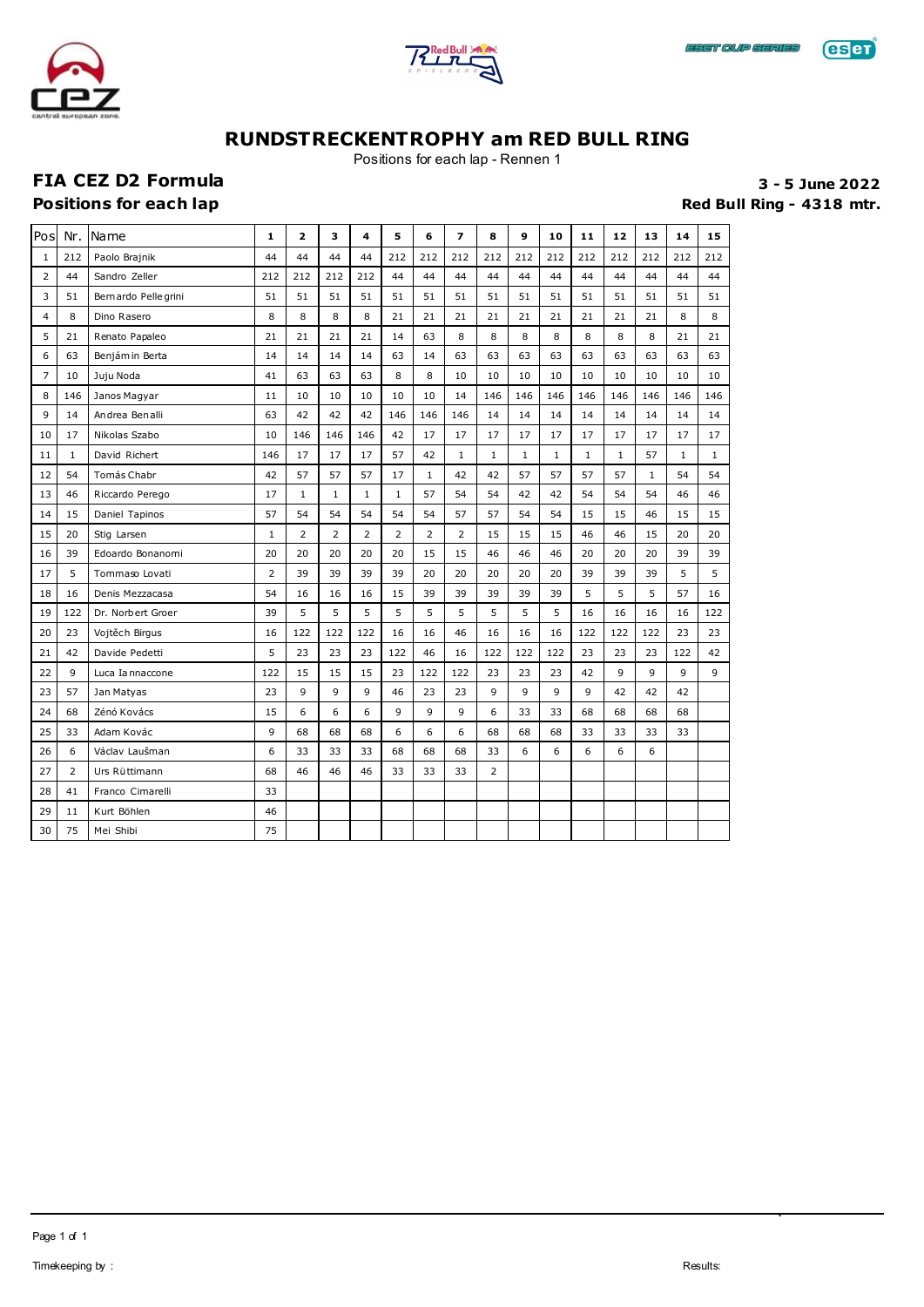





Positions for each lap - Rennen 1

# FIA CEZ D2 Formula **1999 12:00 Sea Exercise 2022**<br>Positions for each lap **3 - 5 June 2022**

Red Bull Ring - 4318 mtr.

| Pos            | Nr.            | Name                | 1              | 2            | 3              | 4            | 5            | 6              | $\overline{\phantom{a}}$ | 8              | 9            | 10           | 11           | 12           | 13    | 14           | 15           |
|----------------|----------------|---------------------|----------------|--------------|----------------|--------------|--------------|----------------|--------------------------|----------------|--------------|--------------|--------------|--------------|-------|--------------|--------------|
| $\mathbf{1}$   | 212            | Paolo Brajnik       | 44             | 44           | 44             | 44           | 212          | 212            | 212                      | 212            | 212          | 212          | 212          | 212          | 212   | 212          | 212          |
| 2              | 44             | Sandro Zeller       | 212            | 212          | 212            | 212          | 44           | 44             | 44                       | 44             | 44           | 44           | 44           | 44           | 44    | 44           | 44           |
| 3              | 51             | Bernardo Pellegrini | 51             | 51           | 51             | 51           | 51           | 51             | 51                       | 51             | 51           | 51           | 51           | 51           | 51    | 51           | 51           |
| $\overline{4}$ | 8              | Dino Rasero         | 8              | 8            | 8              | 8            | 21           | 21             | 21                       | 21             | 21           | 21           | 21           | 21           | 21    | 8            | 8            |
| 5              | 21             | Renato Papaleo      | 21             | 21           | 21             | 21           | 14           | 63             | 8                        | 8              | 8            | 8            | 8            | 8            | 8     | 21           | 21           |
| 6              | 63             | Benjám in Berta     | 14             | 14           | 14             | 14           | 63           | 14             | 63                       | 63             | 63           | 63           | 63           | 63           | 63    | 63           | 63           |
| 7              | 10             | Juju Noda           | 41             | 63           | 63             | 63           | 8            | 8              | 10                       | 10             | 10           | 10           | 10           | 10           | 10    | 10           | 10           |
| 8              | 146            | Janos Magyar        | 11             | 10           | 10             | 10           | 10           | 10             | 14                       | 146            | 146          | 146          | 146          | 146          | 146   | 146          | 146          |
| 9              | 14             | Andrea Benalli      | 63             | 42           | 42             | 42           | 146          | 146            | 146                      | 14             | 14           | 14           | 14           | 14           | 14    | 14           | 14           |
| 10             | 17             | Nikolas Szabo       | 10             | 146          | 146            | 146          | 42           | 17             | 17                       | 17             | 17           | 17           | 17           | 17           | 17    | 17           | 17           |
| 11             | $\mathbf{1}$   | David Richert       | 146            | 17           | 17             | 17           | 57           | 42             | $\mathbf{1}$             | $\mathbf{1}$   | $\mathbf{1}$ | $\mathbf{1}$ | $\mathbf{1}$ | $\mathbf{1}$ | 57    | $\mathbf{1}$ | $\mathbf{1}$ |
| 12             | 54             | Tomás Chabr         | 42             | 57           | 57             | 57           | 17           | $1\,$          | 42                       | 42             | 57           | 57           | 57           | 57           | $1\,$ | 54           | 54           |
| 13             | 46             | Riccardo Perego     | 17             | $\mathbf{1}$ | $1\,$          | $\mathbf{1}$ | $\mathbf{1}$ | 57             | 54                       | 54             | 42           | 42           | 54           | 54           | 54    | 46           | 46           |
| 14             | 15             | Daniel Tapinos      | 57             | 54           | 54             | 54           | 54           | 54             | 57                       | 57             | 54           | 54           | 15           | 15           | 46    | 15           | 15           |
| 15             | 20             | Stig Larsen         | $\mathbf{1}$   | 2            | $\overline{2}$ | 2            | 2            | $\overline{2}$ | 2                        | 15             | 15           | 15           | 46           | 46           | 15    | 20           | 20           |
| 16             | 39             | Edoardo Bonanomi    | 20             | 20           | 20             | 20           | 20           | 15             | 15                       | 46             | 46           | 46           | 20           | 20           | 20    | 39           | 39           |
| 17             | 5              | Tommaso Lovati      | $\overline{2}$ | 39           | 39             | 39           | 39           | 20             | 20                       | 20             | 20           | 20           | 39           | 39           | 39    | 5            | 5            |
| 18             | 16             | Denis Mezzacasa     | 54             | 16           | 16             | 16           | 15           | 39             | 39                       | 39             | 39           | 39           | 5            | 5            | 5     | 57           | 16           |
| 19             | 122            | Dr. Norbert Groer   | 39             | 5            | 5              | 5            | 5            | 5              | 5                        | 5              | 5            | 5            | 16           | 16           | 16    | 16           | 122          |
| 20             | 23             | Vojtěch Birgus      | 16             | 122          | 122            | 122          | 16           | 16             | 46                       | 16             | 16           | 16           | 122          | 122          | 122   | 23           | 23           |
| 21             | 42             | Davide Pedetti      | 5              | 23           | 23             | 23           | 122          | 46             | 16                       | 122            | 122          | 122          | 23           | 23           | 23    | 122          | 42           |
| 22             | 9              | Luca Iannaccone     | 122            | 15           | 15             | 15           | 23           | 122            | 122                      | 23             | 23           | 23           | 42           | 9            | 9     | 9            | 9            |
| 23             | 57             | Jan Matyas          | 23             | 9            | 9              | 9            | 46           | 23             | 23                       | 9              | 9            | 9            | 9            | 42           | 42    | 42           |              |
| 24             | 68             | Zénó Kovács         | 15             | 6            | 6              | 6            | 9            | 9              | 9                        | 6              | 33           | 33           | 68           | 68           | 68    | 68           |              |
| 25             | 33             | Adam Kovác          | 9              | 68           | 68             | 68           | 6            | 6              | 6                        | 68             | 68           | 68           | 33           | 33           | 33    | 33           |              |
| 26             | 6              | Václav Laušman      | 6              | 33           | 33             | 33           | 68           | 68             | 68                       | 33             | 6            | 6            | 6            | 6            | 6     |              |              |
| 27             | $\overline{2}$ | Urs Rüttimann       | 68             | 46           | 46             | 46           | 33           | 33             | 33                       | $\overline{2}$ |              |              |              |              |       |              |              |
| 28             | 41             | Franco Cimarelli    | 33             |              |                |              |              |                |                          |                |              |              |              |              |       |              |              |
| 29             | 11             | Kurt Böhlen         | 46             |              |                |              |              |                |                          |                |              |              |              |              |       |              |              |
| 30             | 75             | Mei Shibi           | 75             |              |                |              |              |                |                          |                |              |              |              |              |       |              |              |